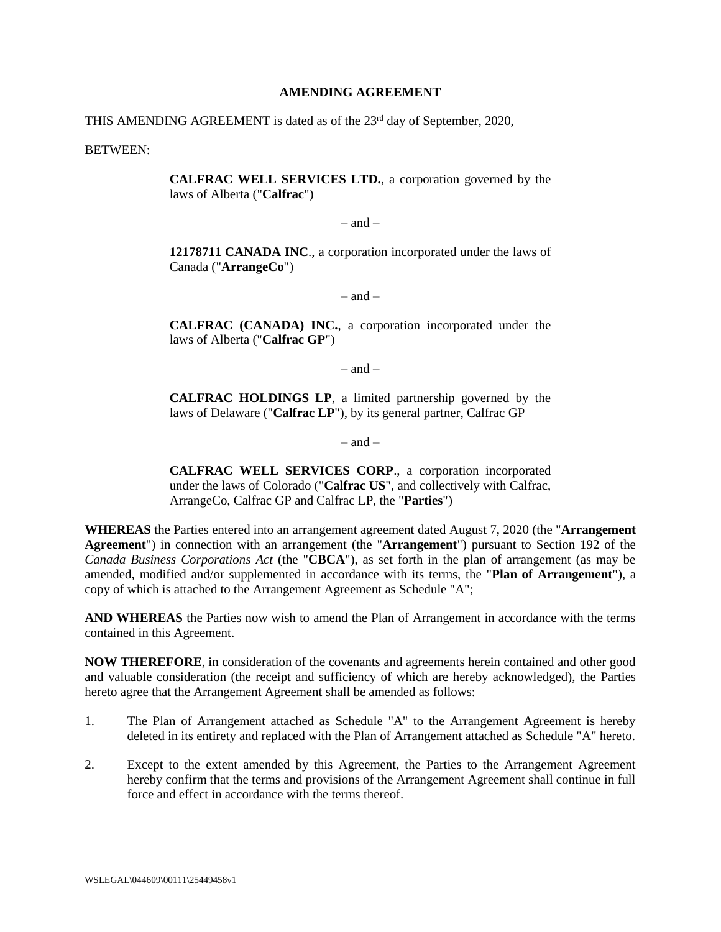#### **AMENDING AGREEMENT**

THIS AMENDING AGREEMENT is dated as of the 23<sup>rd</sup> day of September, 2020,

BETWEEN:

**CALFRAC WELL SERVICES LTD.**, a corporation governed by the laws of Alberta ("**Calfrac**")

 $-$  and  $-$ 

**12178711 CANADA INC**., a corporation incorporated under the laws of Canada ("**ArrangeCo**")

 $-$  and  $-$ 

**CALFRAC (CANADA) INC.**, a corporation incorporated under the laws of Alberta ("**Calfrac GP**")

 $-$  and  $-$ 

**CALFRAC HOLDINGS LP**, a limited partnership governed by the laws of Delaware ("**Calfrac LP**"), by its general partner, Calfrac GP

 $-$  and  $-$ 

**CALFRAC WELL SERVICES CORP**., a corporation incorporated under the laws of Colorado ("**Calfrac US**", and collectively with Calfrac, ArrangeCo, Calfrac GP and Calfrac LP, the "**Parties**")

**WHEREAS** the Parties entered into an arrangement agreement dated August 7, 2020 (the "**Arrangement Agreement**") in connection with an arrangement (the "**Arrangement**") pursuant to Section 192 of the *Canada Business Corporations Act* (the "**CBCA**"), as set forth in the plan of arrangement (as may be amended, modified and/or supplemented in accordance with its terms, the "**Plan of Arrangement**"), a copy of which is attached to the Arrangement Agreement as Schedule "A";

**AND WHEREAS** the Parties now wish to amend the Plan of Arrangement in accordance with the terms contained in this Agreement.

**NOW THEREFORE**, in consideration of the covenants and agreements herein contained and other good and valuable consideration (the receipt and sufficiency of which are hereby acknowledged), the Parties hereto agree that the Arrangement Agreement shall be amended as follows:

- 1. The Plan of Arrangement attached as Schedule "A" to the Arrangement Agreement is hereby deleted in its entirety and replaced with the Plan of Arrangement attached as Schedule "A" hereto.
- 2. Except to the extent amended by this Agreement, the Parties to the Arrangement Agreement hereby confirm that the terms and provisions of the Arrangement Agreement shall continue in full force and effect in accordance with the terms thereof.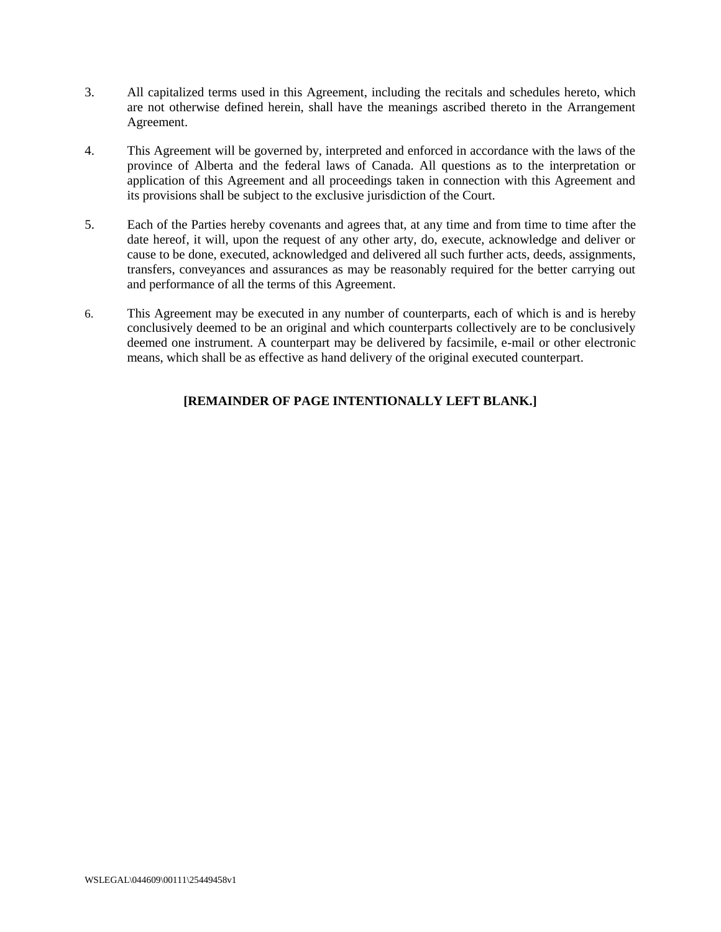- 3. All capitalized terms used in this Agreement, including the recitals and schedules hereto, which are not otherwise defined herein, shall have the meanings ascribed thereto in the Arrangement Agreement.
- 4. This Agreement will be governed by, interpreted and enforced in accordance with the laws of the province of Alberta and the federal laws of Canada. All questions as to the interpretation or application of this Agreement and all proceedings taken in connection with this Agreement and its provisions shall be subject to the exclusive jurisdiction of the Court.
- 5. Each of the Parties hereby covenants and agrees that, at any time and from time to time after the date hereof, it will, upon the request of any other arty, do, execute, acknowledge and deliver or cause to be done, executed, acknowledged and delivered all such further acts, deeds, assignments, transfers, conveyances and assurances as may be reasonably required for the better carrying out and performance of all the terms of this Agreement.
- 6. This Agreement may be executed in any number of counterparts, each of which is and is hereby conclusively deemed to be an original and which counterparts collectively are to be conclusively deemed one instrument. A counterpart may be delivered by facsimile, e-mail or other electronic means, which shall be as effective as hand delivery of the original executed counterpart.

## **[REMAINDER OF PAGE INTENTIONALLY LEFT BLANK.]**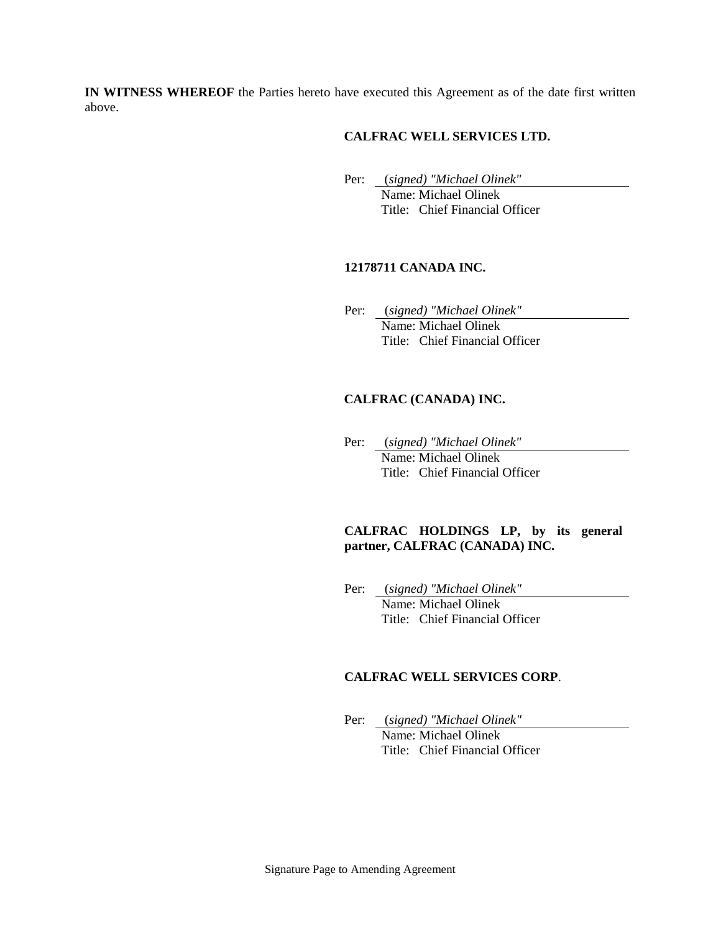**IN WITNESS WHEREOF** the Parties hereto have executed this Agreement as of the date first written above.

### **CALFRAC WELL SERVICES LTD.**

Per: (*signed) "Michael Olinek"*

Name: Michael Olinek Title: Chief Financial Officer

### **12178711 CANADA INC.**

Per: (*signed) "Michael Olinek"* Name: Michael Olinek Title: Chief Financial Officer

## **CALFRAC (CANADA) INC.**

Per: (*signed) "Michael Olinek"* Name: Michael Olinek Title: Chief Financial Officer

### **CALFRAC HOLDINGS LP, by its general partner, CALFRAC (CANADA) INC.**

Per: (*signed) "Michael Olinek"* Name: Michael Olinek Title: Chief Financial Officer

#### **CALFRAC WELL SERVICES CORP**.

Per: (*signed) "Michael Olinek"*

Name: Michael Olinek Title: Chief Financial Officer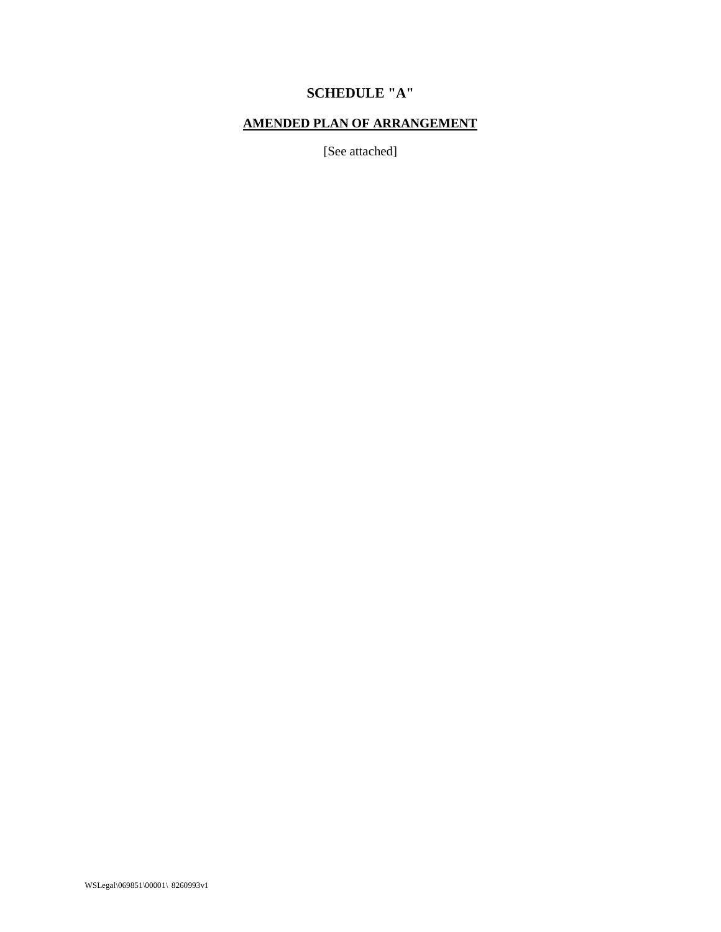# **SCHEDULE "A"**

## **AMENDED PLAN OF ARRANGEMENT**

[See attached]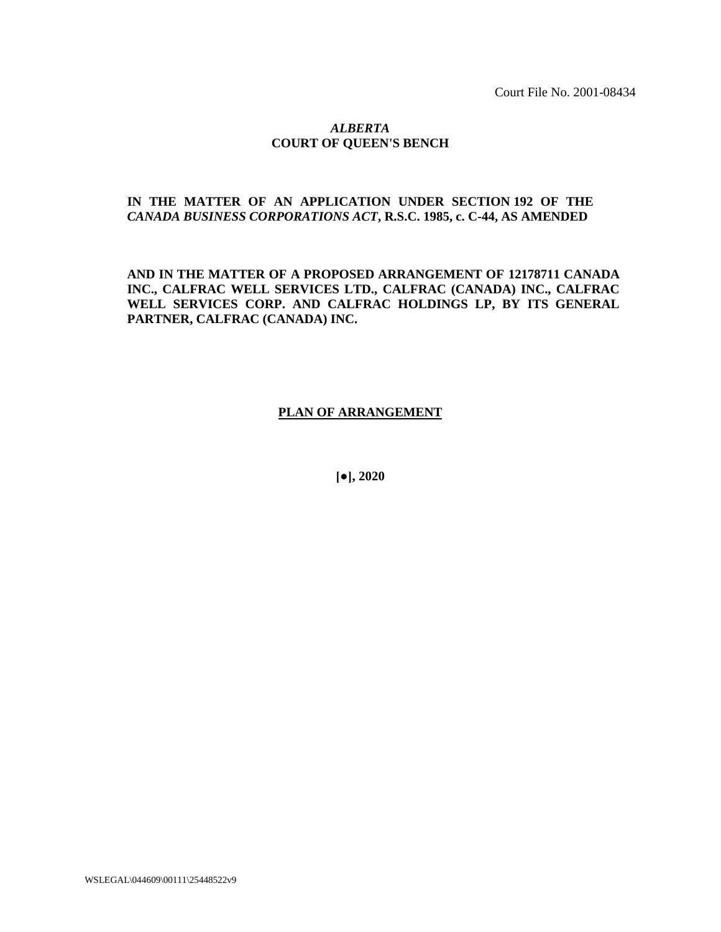Court File No. 2001-08434

#### *ALBERTA* **COURT OF QUEEN'S BENCH**

## **IN THE MATTER OF AN APPLICATION UNDER SECTION 192 OF THE**  *CANADA BUSINESS CORPORATIONS ACT***, R.S.C. 1985, c. C-44, AS AMENDED**

**AND IN THE MATTER OF A PROPOSED ARRANGEMENT OF 12178711 CANADA INC., CALFRAC WELL SERVICES LTD., CALFRAC (CANADA) INC., CALFRAC WELL SERVICES CORP. AND CALFRAC HOLDINGS LP, BY ITS GENERAL PARTNER, CALFRAC (CANADA) INC.**

### **PLAN OF ARRANGEMENT**

**[●], 2020** 

WSLEGAL\044609\00111\25448522v9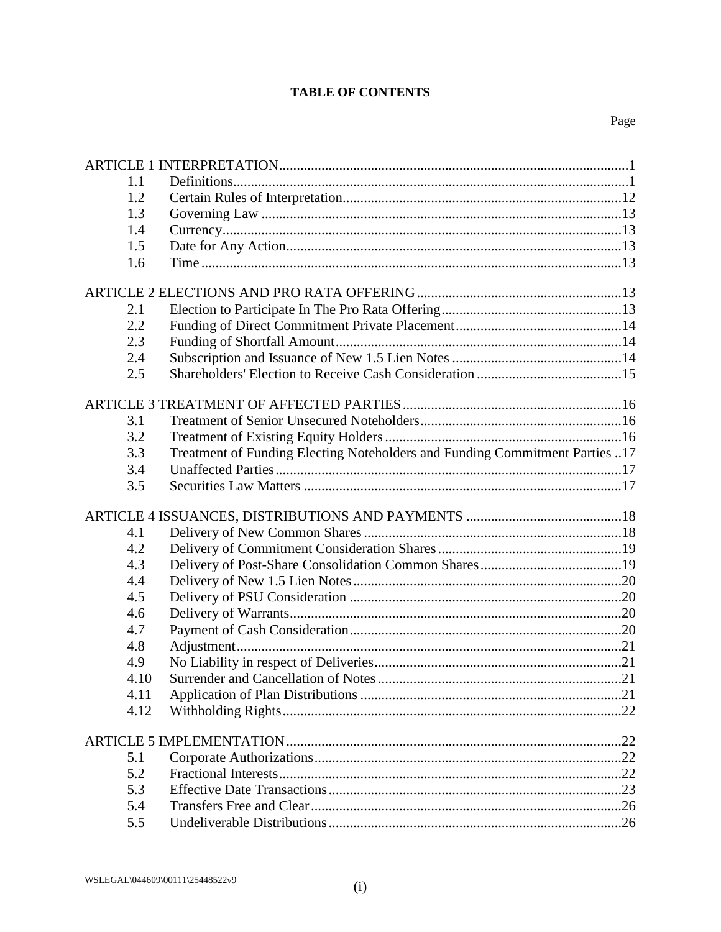## **TABLE OF CONTENTS**

| 1.1  |                                                                             |  |
|------|-----------------------------------------------------------------------------|--|
| 1.2  |                                                                             |  |
| 1.3  |                                                                             |  |
| 1.4  |                                                                             |  |
| 1.5  |                                                                             |  |
| 1.6  |                                                                             |  |
|      |                                                                             |  |
|      |                                                                             |  |
| 2.1  |                                                                             |  |
| 2.2  |                                                                             |  |
| 2.3  |                                                                             |  |
| 2.4  |                                                                             |  |
| 2.5  |                                                                             |  |
|      |                                                                             |  |
|      |                                                                             |  |
| 3.1  |                                                                             |  |
| 3.2  |                                                                             |  |
| 3.3  | Treatment of Funding Electing Noteholders and Funding Commitment Parties 17 |  |
| 3.4  |                                                                             |  |
| 3.5  |                                                                             |  |
|      |                                                                             |  |
|      |                                                                             |  |
|      |                                                                             |  |
| 4.1  |                                                                             |  |
| 4.2  |                                                                             |  |
| 4.3  |                                                                             |  |
| 4.4  |                                                                             |  |
| 4.5  |                                                                             |  |
| 4.6  |                                                                             |  |
| 4.7  |                                                                             |  |
| 4.8  |                                                                             |  |
| 4.9  |                                                                             |  |
| 4.10 |                                                                             |  |
| 4.11 |                                                                             |  |
| 4.12 |                                                                             |  |
|      |                                                                             |  |
|      |                                                                             |  |
| 5.1  |                                                                             |  |
| 5.2  |                                                                             |  |
| 5.3  |                                                                             |  |
| 5.4  |                                                                             |  |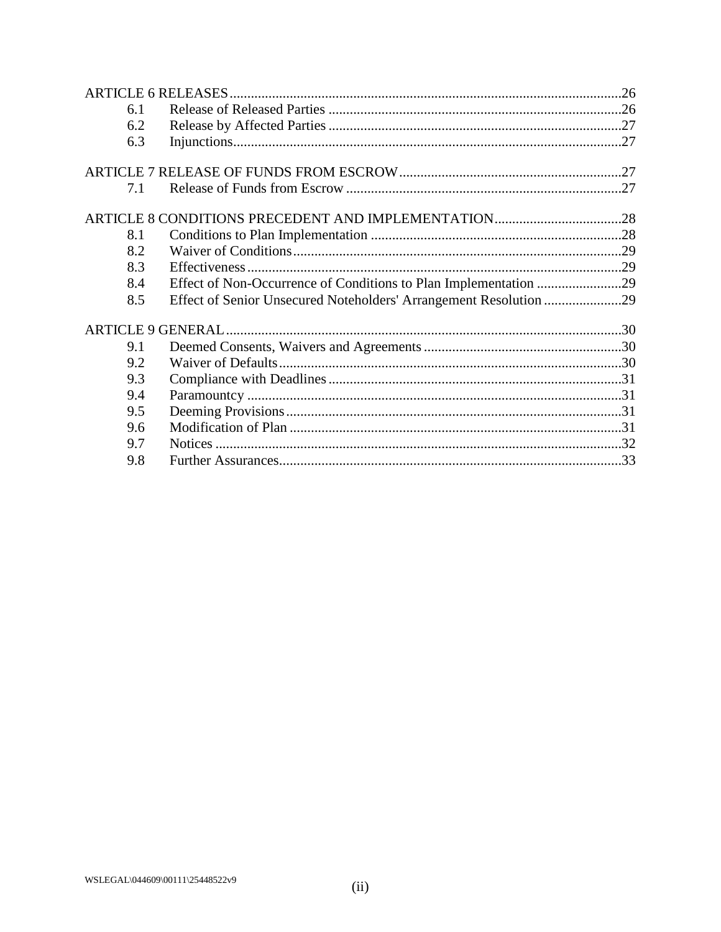| Effect of Non-Occurrence of Conditions to Plan Implementation 29<br>Effect of Senior Unsecured Noteholders' Arrangement Resolution 29 |
|---------------------------------------------------------------------------------------------------------------------------------------|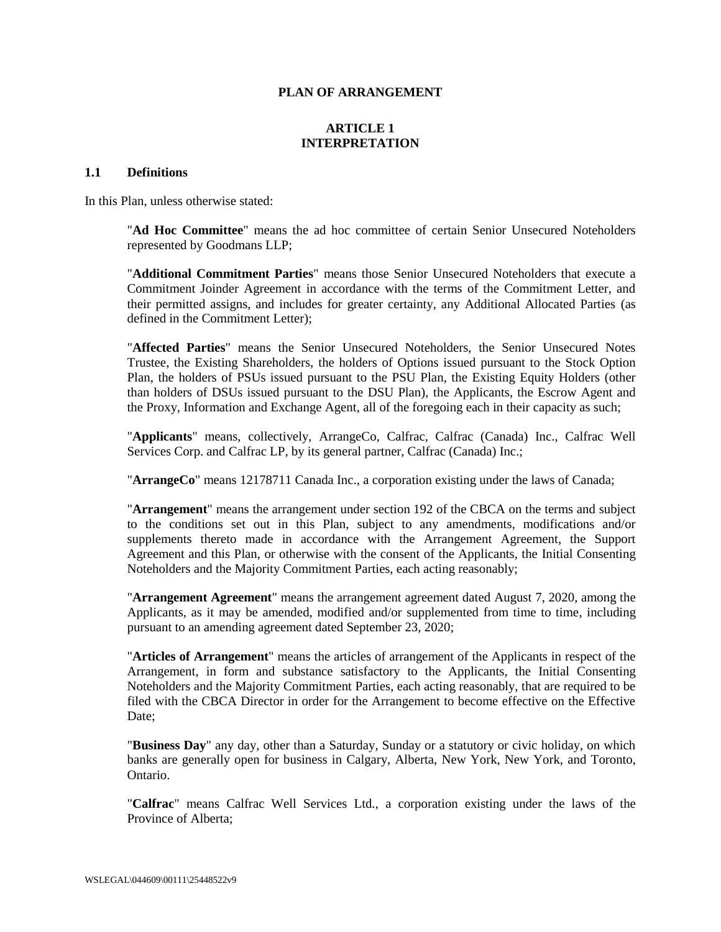#### **PLAN OF ARRANGEMENT**

### **ARTICLE 1 INTERPRETATION**

#### <span id="page-7-1"></span><span id="page-7-0"></span>**1.1 Definitions**

In this Plan, unless otherwise stated:

"**Ad Hoc Committee**" means the ad hoc committee of certain Senior Unsecured Noteholders represented by Goodmans LLP;

"**Additional Commitment Parties**" means those Senior Unsecured Noteholders that execute a Commitment Joinder Agreement in accordance with the terms of the Commitment Letter, and their permitted assigns, and includes for greater certainty, any Additional Allocated Parties (as defined in the Commitment Letter);

"**Affected Parties**" means the Senior Unsecured Noteholders, the Senior Unsecured Notes Trustee, the Existing Shareholders, the holders of Options issued pursuant to the Stock Option Plan, the holders of PSUs issued pursuant to the PSU Plan, the Existing Equity Holders (other than holders of DSUs issued pursuant to the DSU Plan), the Applicants, the Escrow Agent and the Proxy, Information and Exchange Agent, all of the foregoing each in their capacity as such;

"**Applicants**" means, collectively, ArrangeCo, Calfrac, Calfrac (Canada) Inc., Calfrac Well Services Corp. and Calfrac LP, by its general partner, Calfrac (Canada) Inc.;

"**ArrangeCo**" means 12178711 Canada Inc., a corporation existing under the laws of Canada;

"**Arrangement**" means the arrangement under section 192 of the CBCA on the terms and subject to the conditions set out in this Plan, subject to any amendments, modifications and/or supplements thereto made in accordance with the Arrangement Agreement, the Support Agreement and this Plan, or otherwise with the consent of the Applicants, the Initial Consenting Noteholders and the Majority Commitment Parties, each acting reasonably;

"**Arrangement Agreement**" means the arrangement agreement dated August 7, 2020, among the Applicants, as it may be amended, modified and/or supplemented from time to time, including pursuant to an amending agreement dated September 23, 2020;

"**Articles of Arrangement**" means the articles of arrangement of the Applicants in respect of the Arrangement, in form and substance satisfactory to the Applicants, the Initial Consenting Noteholders and the Majority Commitment Parties, each acting reasonably, that are required to be filed with the CBCA Director in order for the Arrangement to become effective on the Effective Date<sup>·</sup>

"**Business Day**" any day, other than a Saturday, Sunday or a statutory or civic holiday, on which banks are generally open for business in Calgary, Alberta, New York, New York, and Toronto, Ontario.

"**Calfrac**" means Calfrac Well Services Ltd., a corporation existing under the laws of the Province of Alberta;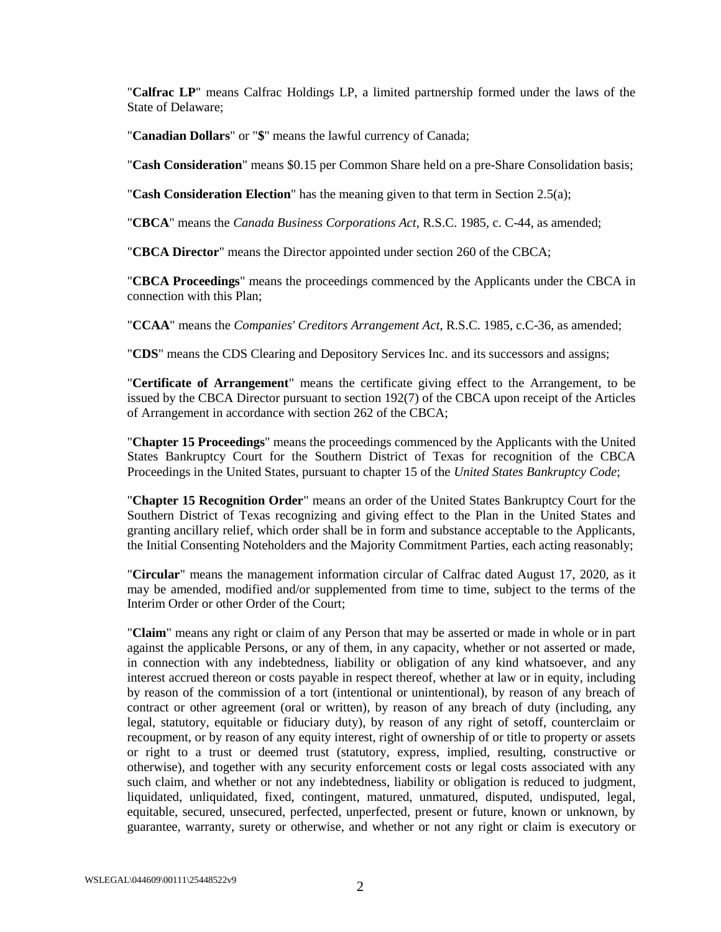"**Calfrac LP**" means Calfrac Holdings LP, a limited partnership formed under the laws of the State of Delaware;

"**Canadian Dollars**" or "**\$**" means the lawful currency of Canada;

"**Cash Consideration**" means \$0.15 per Common Share held on a pre-Share Consolidation basis;

"**Cash Consideration Election**" has the meaning given to that term in Section [2.5\(a\);](#page-21-1)

"**CBCA**" means the *Canada Business Corporations Act*, R.S.C. 1985, c. C-44, as amended;

"**CBCA Director**" means the Director appointed under section 260 of the CBCA;

"**CBCA Proceedings**" means the proceedings commenced by the Applicants under the CBCA in connection with this Plan;

"**CCAA**" means the *Companies' Creditors Arrangement Act*, R.S.C. 1985, c.C-36, as amended;

"**CDS**" means the CDS Clearing and Depository Services Inc. and its successors and assigns;

"**Certificate of Arrangement**" means the certificate giving effect to the Arrangement, to be issued by the CBCA Director pursuant to section 192(7) of the CBCA upon receipt of the Articles of Arrangement in accordance with section 262 of the CBCA;

"**Chapter 15 Proceedings**" means the proceedings commenced by the Applicants with the United States Bankruptcy Court for the Southern District of Texas for recognition of the CBCA Proceedings in the United States, pursuant to chapter 15 of the *United States Bankruptcy Code*;

"**Chapter 15 Recognition Order**" means an order of the United States Bankruptcy Court for the Southern District of Texas recognizing and giving effect to the Plan in the United States and granting ancillary relief, which order shall be in form and substance acceptable to the Applicants, the Initial Consenting Noteholders and the Majority Commitment Parties, each acting reasonably;

"**Circular**" means the management information circular of Calfrac dated August 17, 2020, as it may be amended, modified and/or supplemented from time to time, subject to the terms of the Interim Order or other Order of the Court;

"**Claim**" means any right or claim of any Person that may be asserted or made in whole or in part against the applicable Persons, or any of them, in any capacity, whether or not asserted or made, in connection with any indebtedness, liability or obligation of any kind whatsoever, and any interest accrued thereon or costs payable in respect thereof, whether at law or in equity, including by reason of the commission of a tort (intentional or unintentional), by reason of any breach of contract or other agreement (oral or written), by reason of any breach of duty (including, any legal, statutory, equitable or fiduciary duty), by reason of any right of setoff, counterclaim or recoupment, or by reason of any equity interest, right of ownership of or title to property or assets or right to a trust or deemed trust (statutory, express, implied, resulting, constructive or otherwise), and together with any security enforcement costs or legal costs associated with any such claim, and whether or not any indebtedness, liability or obligation is reduced to judgment, liquidated, unliquidated, fixed, contingent, matured, unmatured, disputed, undisputed, legal, equitable, secured, unsecured, perfected, unperfected, present or future, known or unknown, by guarantee, warranty, surety or otherwise, and whether or not any right or claim is executory or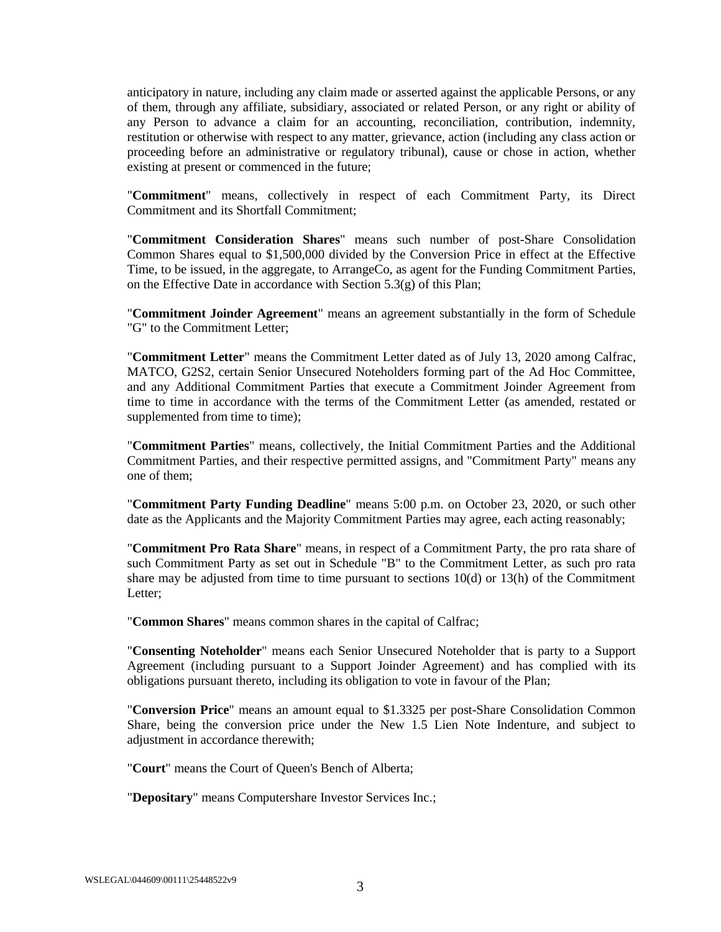anticipatory in nature, including any claim made or asserted against the applicable Persons, or any of them, through any affiliate, subsidiary, associated or related Person, or any right or ability of any Person to advance a claim for an accounting, reconciliation, contribution, indemnity, restitution or otherwise with respect to any matter, grievance, action (including any class action or proceeding before an administrative or regulatory tribunal), cause or chose in action, whether existing at present or commenced in the future;

"**Commitment**" means, collectively in respect of each Commitment Party, its Direct Commitment and its Shortfall Commitment;

"**Commitment Consideration Shares**" means such number of post-Share Consolidation Common Shares equal to \$1,500,000 divided by the Conversion Price in effect at the Effective Time, to be issued, in the aggregate, to ArrangeCo, as agent for the Funding Commitment Parties, on the Effective Date in accordance with Section [5.3\(g\)](#page-31-0) of this Plan;

"**Commitment Joinder Agreement**" means an agreement substantially in the form of Schedule "G" to the Commitment Letter;

"**Commitment Letter**" means the Commitment Letter dated as of July 13, 2020 among Calfrac, MATCO, G2S2, certain Senior Unsecured Noteholders forming part of the Ad Hoc Committee, and any Additional Commitment Parties that execute a Commitment Joinder Agreement from time to time in accordance with the terms of the Commitment Letter (as amended, restated or supplemented from time to time);

"**Commitment Parties**" means, collectively, the Initial Commitment Parties and the Additional Commitment Parties, and their respective permitted assigns, and "Commitment Party" means any one of them;

"**Commitment Party Funding Deadline**" means 5:00 p.m. on October 23, 2020, or such other date as the Applicants and the Majority Commitment Parties may agree, each acting reasonably;

"**Commitment Pro Rata Share**" means, in respect of a Commitment Party, the pro rata share of such Commitment Party as set out in Schedule "B" to the Commitment Letter, as such pro rata share may be adjusted from time to time pursuant to sections 10(d) or 13(h) of the Commitment Letter;

"**Common Shares**" means common shares in the capital of Calfrac;

"**Consenting Noteholder**" means each Senior Unsecured Noteholder that is party to a Support Agreement (including pursuant to a Support Joinder Agreement) and has complied with its obligations pursuant thereto, including its obligation to vote in favour of the Plan;

"**Conversion Price**" means an amount equal to \$1.3325 per post-Share Consolidation Common Share, being the conversion price under the New 1.5 Lien Note Indenture, and subject to adjustment in accordance therewith;

"**Court**" means the Court of Queen's Bench of Alberta;

"**Depositary**" means Computershare Investor Services Inc.;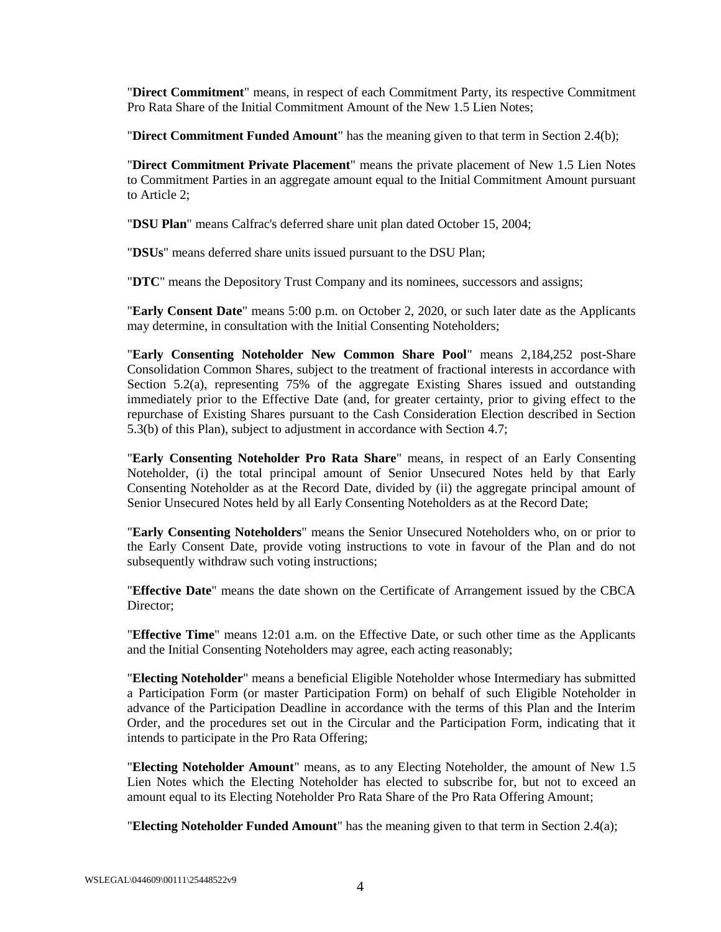"**Direct Commitment**" means, in respect of each Commitment Party, its respective Commitment Pro Rata Share of the Initial Commitment Amount of the New 1.5 Lien Notes;

"**Direct Commitment Funded Amount**" has the meaning given to that term in Section [2.4\(b\);](#page-20-3)

"**Direct Commitment Private Placement**" means the private placement of New 1.5 Lien Notes to Commitment Parties in an aggregate amount equal to the Initial Commitment Amount pursuant to [Article](#page-19-4) 2;

"**DSU Plan**" means Calfrac's deferred share unit plan dated October 15, 2004;

"**DSUs**" means deferred share units issued pursuant to the DSU Plan;

"**DTC**" means the Depository Trust Company and its nominees, successors and assigns;

"**Early Consent Date**" means 5:00 p.m. on October 2, 2020, or such later date as the Applicants may determine, in consultation with the Initial Consenting Noteholders;

"**Early Consenting Noteholder New Common Share Pool**" means 2,184,252 post-Share Consolidation Common Shares, subject to the treatment of fractional interests in accordance with Section [5.2\(a\),](#page-28-4) representing 75% of the aggregate Existing Shares issued and outstanding immediately prior to the Effective Date (and, for greater certainty, prior to giving effect to the repurchase of Existing Shares pursuant to the Cash Consideration Election described in Section [5.3\(b\)](#page-29-1) of this Plan), subject to adjustment in accordance with Section [4.7;](#page-26-3)

"**Early Consenting Noteholder Pro Rata Share**" means, in respect of an Early Consenting Noteholder, (i) the total principal amount of Senior Unsecured Notes held by that Early Consenting Noteholder as at the Record Date, divided by (ii) the aggregate principal amount of Senior Unsecured Notes held by all Early Consenting Noteholders as at the Record Date;

"**Early Consenting Noteholders**" means the Senior Unsecured Noteholders who, on or prior to the Early Consent Date, provide voting instructions to vote in favour of the Plan and do not subsequently withdraw such voting instructions;

"**Effective Date**" means the date shown on the Certificate of Arrangement issued by the CBCA Director:

"**Effective Time**" means 12:01 a.m. on the Effective Date, or such other time as the Applicants and the Initial Consenting Noteholders may agree, each acting reasonably;

"**Electing Noteholder**" means a beneficial Eligible Noteholder whose Intermediary has submitted a Participation Form (or master Participation Form) on behalf of such Eligible Noteholder in advance of the Participation Deadline in accordance with the terms of this Plan and the Interim Order, and the procedures set out in the Circular and the Participation Form, indicating that it intends to participate in the Pro Rata Offering;

"**Electing Noteholder Amount**" means, as to any Electing Noteholder, the amount of New 1.5 Lien Notes which the Electing Noteholder has elected to subscribe for, but not to exceed an amount equal to its Electing Noteholder Pro Rata Share of the Pro Rata Offering Amount;

"**Electing Noteholder Funded Amount**" has the meaning given to that term in Section [2.4\(a\);](#page-20-4)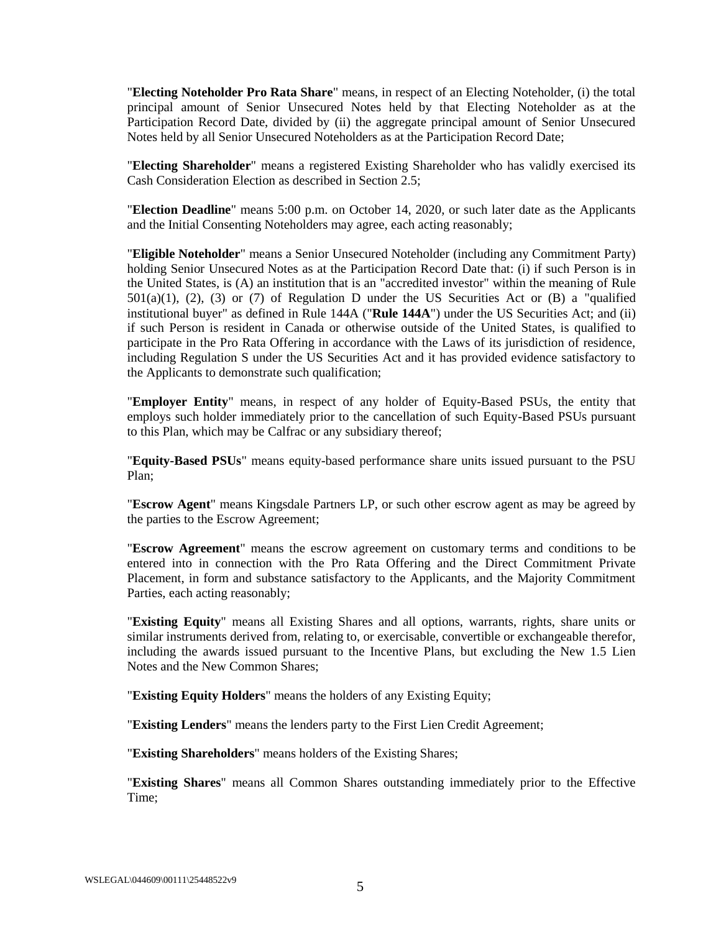"**Electing Noteholder Pro Rata Share**" means, in respect of an Electing Noteholder, (i) the total principal amount of Senior Unsecured Notes held by that Electing Noteholder as at the Participation Record Date, divided by (ii) the aggregate principal amount of Senior Unsecured Notes held by all Senior Unsecured Noteholders as at the Participation Record Date;

"**Electing Shareholder**" means a registered Existing Shareholder who has validly exercised its Cash Consideration Election as described in Section [2.5;](#page-21-0)

"**Election Deadline**" means 5:00 p.m. on October 14, 2020, or such later date as the Applicants and the Initial Consenting Noteholders may agree, each acting reasonably;

"**Eligible Noteholder**" means a Senior Unsecured Noteholder (including any Commitment Party) holding Senior Unsecured Notes as at the Participation Record Date that: (i) if such Person is in the United States, is (A) an institution that is an "accredited investor" within the meaning of Rule  $501(a)(1)$ ,  $(2)$ ,  $(3)$  or  $(7)$  of Regulation D under the US Securities Act or  $(B)$  a "qualified" institutional buyer" as defined in Rule 144A ("**Rule 144A**") under the US Securities Act; and (ii) if such Person is resident in Canada or otherwise outside of the United States, is qualified to participate in the Pro Rata Offering in accordance with the Laws of its jurisdiction of residence, including Regulation S under the US Securities Act and it has provided evidence satisfactory to the Applicants to demonstrate such qualification;

"**Employer Entity**" means, in respect of any holder of Equity-Based PSUs, the entity that employs such holder immediately prior to the cancellation of such Equity-Based PSUs pursuant to this Plan, which may be Calfrac or any subsidiary thereof;

"**Equity-Based PSUs**" means equity-based performance share units issued pursuant to the PSU Plan;

"**Escrow Agent**" means Kingsdale Partners LP, or such other escrow agent as may be agreed by the parties to the Escrow Agreement;

"**Escrow Agreement**" means the escrow agreement on customary terms and conditions to be entered into in connection with the Pro Rata Offering and the Direct Commitment Private Placement, in form and substance satisfactory to the Applicants, and the Majority Commitment Parties, each acting reasonably;

"**Existing Equity**" means all Existing Shares and all options, warrants, rights, share units or similar instruments derived from, relating to, or exercisable, convertible or exchangeable therefor, including the awards issued pursuant to the Incentive Plans, but excluding the New 1.5 Lien Notes and the New Common Shares;

"**Existing Equity Holders**" means the holders of any Existing Equity;

"**Existing Lenders**" means the lenders party to the First Lien Credit Agreement;

"**Existing Shareholders**" means holders of the Existing Shares;

"**Existing Shares**" means all Common Shares outstanding immediately prior to the Effective Time;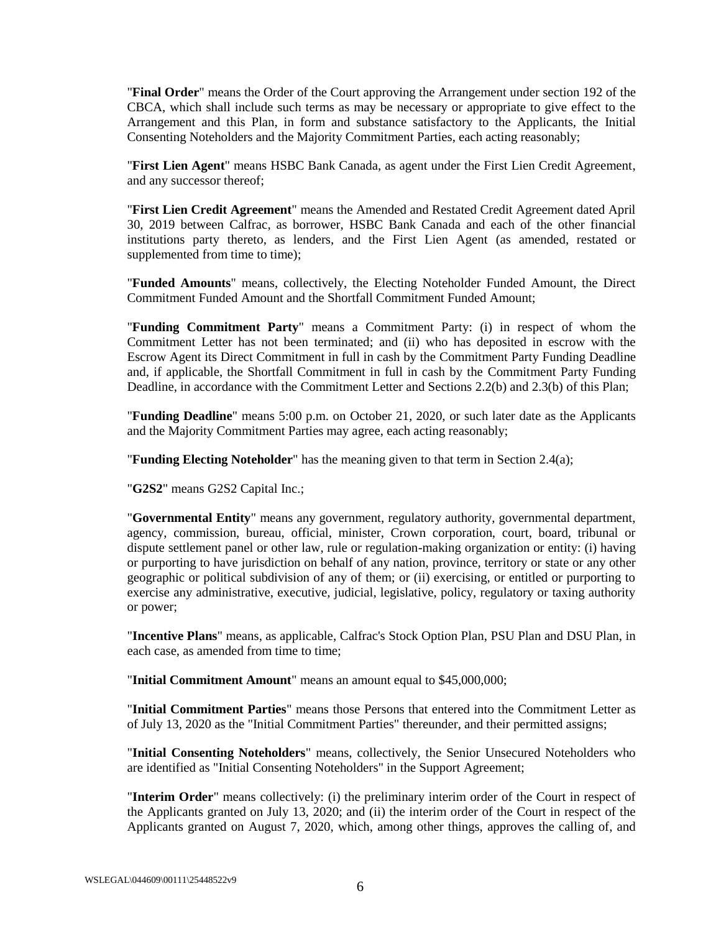"**Final Order**" means the Order of the Court approving the Arrangement under section 192 of the CBCA, which shall include such terms as may be necessary or appropriate to give effect to the Arrangement and this Plan, in form and substance satisfactory to the Applicants, the Initial Consenting Noteholders and the Majority Commitment Parties, each acting reasonably;

"**First Lien Agent**" means HSBC Bank Canada, as agent under the First Lien Credit Agreement, and any successor thereof;

"**First Lien Credit Agreement**" means the Amended and Restated Credit Agreement dated April 30, 2019 between Calfrac, as borrower, HSBC Bank Canada and each of the other financial institutions party thereto, as lenders, and the First Lien Agent (as amended, restated or supplemented from time to time):

"**Funded Amounts**" means, collectively, the Electing Noteholder Funded Amount, the Direct Commitment Funded Amount and the Shortfall Commitment Funded Amount;

"**Funding Commitment Party**" means a Commitment Party: (i) in respect of whom the Commitment Letter has not been terminated; and (ii) who has deposited in escrow with the Escrow Agent its Direct Commitment in full in cash by the Commitment Party Funding Deadline and, if applicable, the Shortfall Commitment in full in cash by the Commitment Party Funding Deadline, in accordance with the Commitment Letter and Sections [2.2\(b\)](#page-20-5) an[d 2.3\(b\)](#page-20-6) of this Plan;

"**Funding Deadline**" means 5:00 p.m. on October 21, 2020, or such later date as the Applicants and the Majority Commitment Parties may agree, each acting reasonably;

"**Funding Electing Noteholder**" has the meaning given to that term in Section [2.4\(a\);](#page-20-4)

"**G2S2**" means G2S2 Capital Inc.;

"**Governmental Entity**" means any government, regulatory authority, governmental department, agency, commission, bureau, official, minister, Crown corporation, court, board, tribunal or dispute settlement panel or other law, rule or regulation-making organization or entity: (i) having or purporting to have jurisdiction on behalf of any nation, province, territory or state or any other geographic or political subdivision of any of them; or (ii) exercising, or entitled or purporting to exercise any administrative, executive, judicial, legislative, policy, regulatory or taxing authority or power;

"**Incentive Plans**" means, as applicable, Calfrac's Stock Option Plan, PSU Plan and DSU Plan, in each case, as amended from time to time;

"**Initial Commitment Amount**" means an amount equal to \$45,000,000;

"**Initial Commitment Parties**" means those Persons that entered into the Commitment Letter as of July 13, 2020 as the "Initial Commitment Parties" thereunder, and their permitted assigns;

"**Initial Consenting Noteholders**" means, collectively, the Senior Unsecured Noteholders who are identified as "Initial Consenting Noteholders" in the Support Agreement;

"**Interim Order**" means collectively: (i) the preliminary interim order of the Court in respect of the Applicants granted on July 13, 2020; and (ii) the interim order of the Court in respect of the Applicants granted on August 7, 2020, which, among other things, approves the calling of, and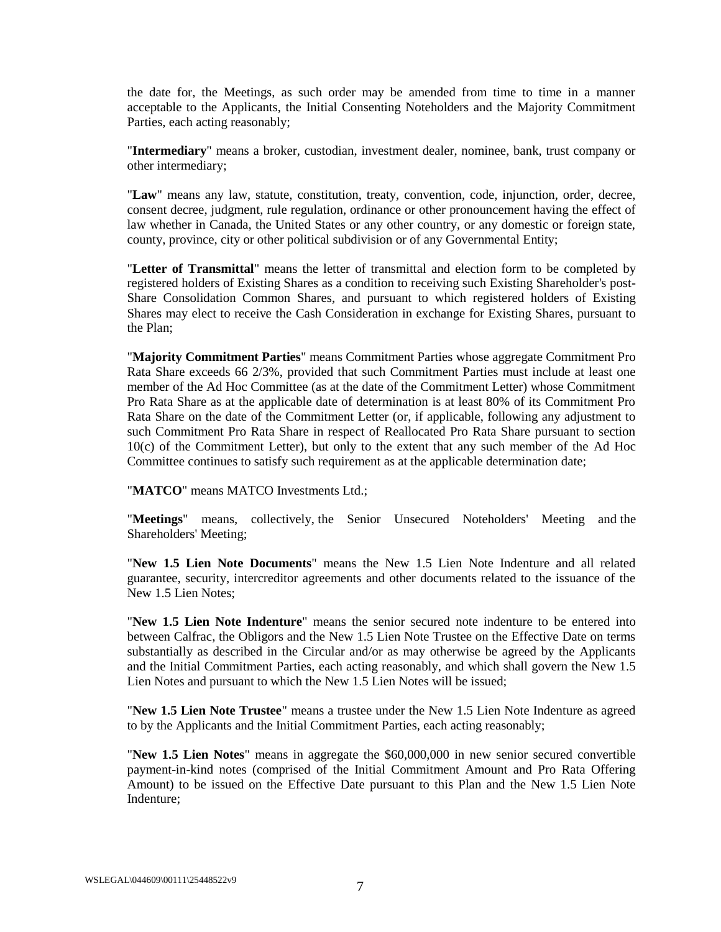the date for, the Meetings, as such order may be amended from time to time in a manner acceptable to the Applicants, the Initial Consenting Noteholders and the Majority Commitment Parties, each acting reasonably;

"**Intermediary**" means a broker, custodian, investment dealer, nominee, bank, trust company or other intermediary;

"**Law**" means any law, statute, constitution, treaty, convention, code, injunction, order, decree, consent decree, judgment, rule regulation, ordinance or other pronouncement having the effect of law whether in Canada, the United States or any other country, or any domestic or foreign state, county, province, city or other political subdivision or of any Governmental Entity;

"**Letter of Transmittal**" means the letter of transmittal and election form to be completed by registered holders of Existing Shares as a condition to receiving such Existing Shareholder's post-Share Consolidation Common Shares, and pursuant to which registered holders of Existing Shares may elect to receive the Cash Consideration in exchange for Existing Shares, pursuant to the Plan;

"**Majority Commitment Parties**" means Commitment Parties whose aggregate Commitment Pro Rata Share exceeds 66 2/3%, provided that such Commitment Parties must include at least one member of the Ad Hoc Committee (as at the date of the Commitment Letter) whose Commitment Pro Rata Share as at the applicable date of determination is at least 80% of its Commitment Pro Rata Share on the date of the Commitment Letter (or, if applicable, following any adjustment to such Commitment Pro Rata Share in respect of Reallocated Pro Rata Share pursuant to section 10(c) of the Commitment Letter), but only to the extent that any such member of the Ad Hoc Committee continues to satisfy such requirement as at the applicable determination date;

"**MATCO**" means MATCO Investments Ltd.;

"**Meetings**" means, collectively, the Senior Unsecured Noteholders' Meeting and the Shareholders' Meeting;

"**New 1.5 Lien Note Documents**" means the New 1.5 Lien Note Indenture and all related guarantee, security, intercreditor agreements and other documents related to the issuance of the New 1.5 Lien Notes;

"**New 1.5 Lien Note Indenture**" means the senior secured note indenture to be entered into between Calfrac, the Obligors and the New 1.5 Lien Note Trustee on the Effective Date on terms substantially as described in the Circular and/or as may otherwise be agreed by the Applicants and the Initial Commitment Parties, each acting reasonably, and which shall govern the New 1.5 Lien Notes and pursuant to which the New 1.5 Lien Notes will be issued;

"**New 1.5 Lien Note Trustee**" means a trustee under the New 1.5 Lien Note Indenture as agreed to by the Applicants and the Initial Commitment Parties, each acting reasonably;

"**New 1.5 Lien Notes**" means in aggregate the \$60,000,000 in new senior secured convertible payment-in-kind notes (comprised of the Initial Commitment Amount and Pro Rata Offering Amount) to be issued on the Effective Date pursuant to this Plan and the New 1.5 Lien Note Indenture;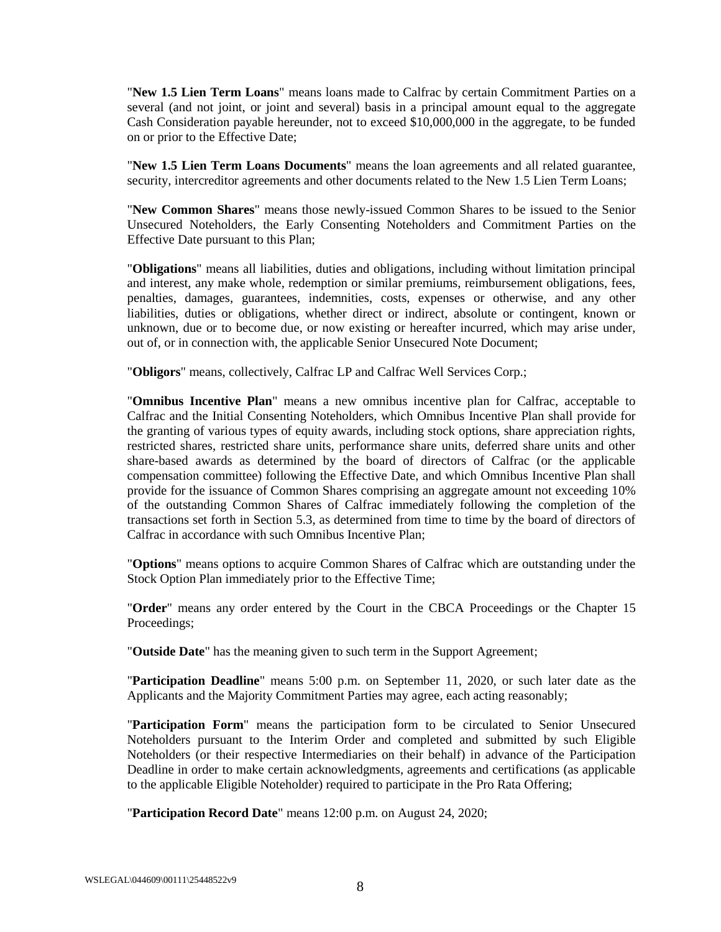"**New 1.5 Lien Term Loans**" means loans made to Calfrac by certain Commitment Parties on a several (and not joint, or joint and several) basis in a principal amount equal to the aggregate Cash Consideration payable hereunder, not to exceed \$10,000,000 in the aggregate, to be funded on or prior to the Effective Date;

"**New 1.5 Lien Term Loans Documents**" means the loan agreements and all related guarantee, security, intercreditor agreements and other documents related to the New 1.5 Lien Term Loans;

"**New Common Shares**" means those newly-issued Common Shares to be issued to the Senior Unsecured Noteholders, the Early Consenting Noteholders and Commitment Parties on the Effective Date pursuant to this Plan;

"**Obligations**" means all liabilities, duties and obligations, including without limitation principal and interest, any make whole, redemption or similar premiums, reimbursement obligations, fees, penalties, damages, guarantees, indemnities, costs, expenses or otherwise, and any other liabilities, duties or obligations, whether direct or indirect, absolute or contingent, known or unknown, due or to become due, or now existing or hereafter incurred, which may arise under, out of, or in connection with, the applicable Senior Unsecured Note Document;

"**Obligors**" means, collectively, Calfrac LP and Calfrac Well Services Corp.;

"**Omnibus Incentive Plan**" means a new omnibus incentive plan for Calfrac, acceptable to Calfrac and the Initial Consenting Noteholders, which Omnibus Incentive Plan shall provide for the granting of various types of equity awards, including stock options, share appreciation rights, restricted shares, restricted share units, performance share units, deferred share units and other share-based awards as determined by the board of directors of Calfrac (or the applicable compensation committee) following the Effective Date, and which Omnibus Incentive Plan shall provide for the issuance of Common Shares comprising an aggregate amount not exceeding 10% of the outstanding Common Shares of Calfrac immediately following the completion of the transactions set forth in Section [5.3,](#page-29-0) as determined from time to time by the board of directors of Calfrac in accordance with such Omnibus Incentive Plan;

"**Options**" means options to acquire Common Shares of Calfrac which are outstanding under the Stock Option Plan immediately prior to the Effective Time;

"**Order**" means any order entered by the Court in the CBCA Proceedings or the Chapter 15 Proceedings;

"**Outside Date**" has the meaning given to such term in the Support Agreement;

"**Participation Deadline**" means 5:00 p.m. on September 11, 2020, or such later date as the Applicants and the Majority Commitment Parties may agree, each acting reasonably;

"**Participation Form**" means the participation form to be circulated to Senior Unsecured Noteholders pursuant to the Interim Order and completed and submitted by such Eligible Noteholders (or their respective Intermediaries on their behalf) in advance of the Participation Deadline in order to make certain acknowledgments, agreements and certifications (as applicable to the applicable Eligible Noteholder) required to participate in the Pro Rata Offering;

"**Participation Record Date**" means 12:00 p.m. on August 24, 2020;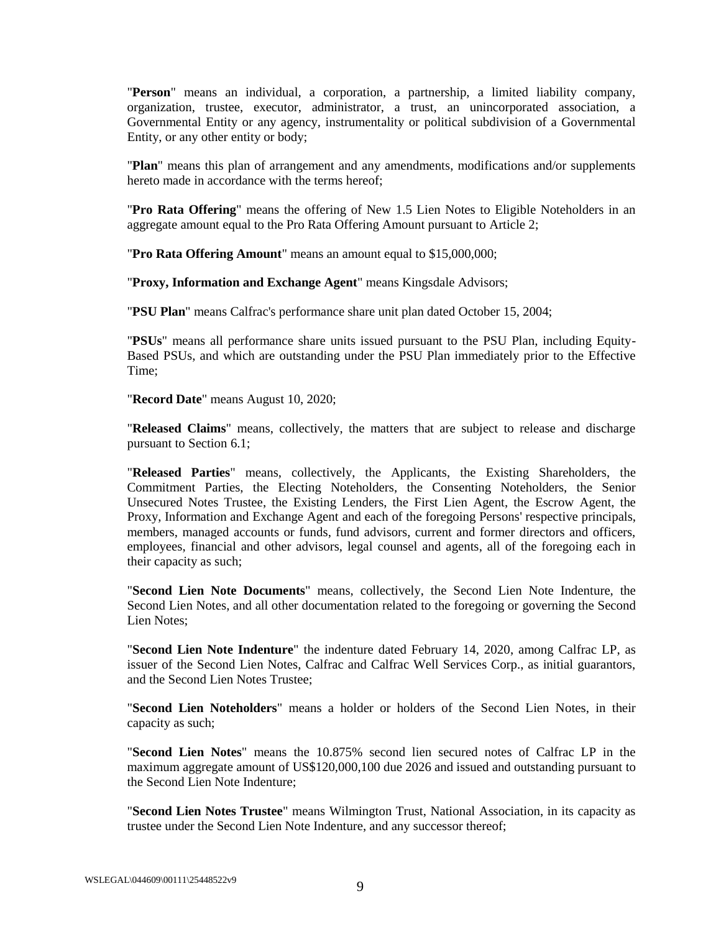"**Person**" means an individual, a corporation, a partnership, a limited liability company, organization, trustee, executor, administrator, a trust, an unincorporated association, a Governmental Entity or any agency, instrumentality or political subdivision of a Governmental Entity, or any other entity or body;

"**Plan**" means this plan of arrangement and any amendments, modifications and/or supplements hereto made in accordance with the terms hereof;

"**Pro Rata Offering**" means the offering of New 1.5 Lien Notes to Eligible Noteholders in an aggregate amount equal to the Pro Rata Offering Amount pursuant to [Article](#page-19-4) 2;

"**Pro Rata Offering Amount**" means an amount equal to \$15,000,000;

"**Proxy, Information and Exchange Agent**" means Kingsdale Advisors;

"**PSU Plan**" means Calfrac's performance share unit plan dated October 15, 2004;

"**PSUs**" means all performance share units issued pursuant to the PSU Plan, including Equity-Based PSUs, and which are outstanding under the PSU Plan immediately prior to the Effective Time;

"**Record Date**" means August 10, 2020;

"**Released Claims**" means, collectively, the matters that are subject to release and discharge pursuant to Sectio[n 6.1;](#page-32-3)

"**Released Parties**" means, collectively, the Applicants, the Existing Shareholders, the Commitment Parties, the Electing Noteholders, the Consenting Noteholders, the Senior Unsecured Notes Trustee, the Existing Lenders, the First Lien Agent, the Escrow Agent, the Proxy, Information and Exchange Agent and each of the foregoing Persons' respective principals, members, managed accounts or funds, fund advisors, current and former directors and officers, employees, financial and other advisors, legal counsel and agents, all of the foregoing each in their capacity as such;

"**Second Lien Note Documents**" means, collectively, the Second Lien Note Indenture, the Second Lien Notes, and all other documentation related to the foregoing or governing the Second Lien Notes;

"**Second Lien Note Indenture**" the indenture dated February 14, 2020, among Calfrac LP, as issuer of the Second Lien Notes, Calfrac and Calfrac Well Services Corp., as initial guarantors, and the Second Lien Notes Trustee;

"**Second Lien Noteholders**" means a holder or holders of the Second Lien Notes, in their capacity as such;

"**Second Lien Notes**" means the 10.875% second lien secured notes of Calfrac LP in the maximum aggregate amount of US\$120,000,100 due 2026 and issued and outstanding pursuant to the Second Lien Note Indenture;

"**Second Lien Notes Trustee**" means Wilmington Trust, National Association, in its capacity as trustee under the Second Lien Note Indenture, and any successor thereof;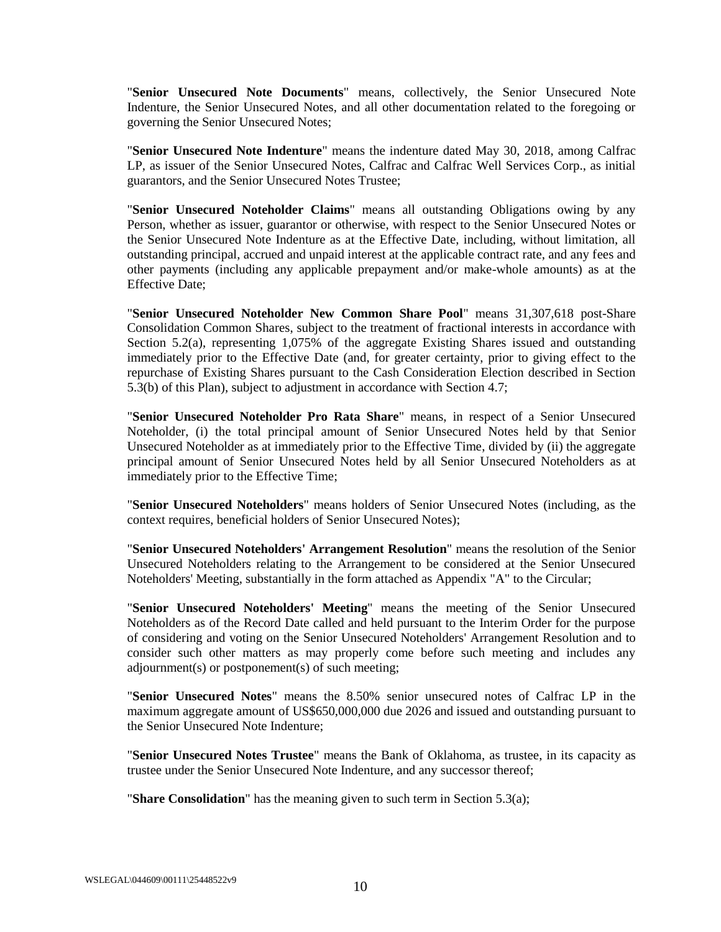"**Senior Unsecured Note Documents**" means, collectively, the Senior Unsecured Note Indenture, the Senior Unsecured Notes, and all other documentation related to the foregoing or governing the Senior Unsecured Notes;

"**Senior Unsecured Note Indenture**" means the indenture dated May 30, 2018, among Calfrac LP, as issuer of the Senior Unsecured Notes, Calfrac and Calfrac Well Services Corp., as initial guarantors, and the Senior Unsecured Notes Trustee;

"**Senior Unsecured Noteholder Claims**" means all outstanding Obligations owing by any Person, whether as issuer, guarantor or otherwise, with respect to the Senior Unsecured Notes or the Senior Unsecured Note Indenture as at the Effective Date, including, without limitation, all outstanding principal, accrued and unpaid interest at the applicable contract rate, and any fees and other payments (including any applicable prepayment and/or make-whole amounts) as at the Effective Date;

"**Senior Unsecured Noteholder New Common Share Pool**" means 31,307,618 post-Share Consolidation Common Shares, subject to the treatment of fractional interests in accordance with Section [5.2\(a\),](#page-28-4) representing 1,075% of the aggregate Existing Shares issued and outstanding immediately prior to the Effective Date (and, for greater certainty, prior to giving effect to the repurchase of Existing Shares pursuant to the Cash Consideration Election described in Section [5.3\(b\)](#page-29-1) of this Plan), subject to adjustment in accordance with Section [4.7;](#page-26-3)

"**Senior Unsecured Noteholder Pro Rata Share**" means, in respect of a Senior Unsecured Noteholder, (i) the total principal amount of Senior Unsecured Notes held by that Senior Unsecured Noteholder as at immediately prior to the Effective Time, divided by (ii) the aggregate principal amount of Senior Unsecured Notes held by all Senior Unsecured Noteholders as at immediately prior to the Effective Time;

"**Senior Unsecured Noteholders**" means holders of Senior Unsecured Notes (including, as the context requires, beneficial holders of Senior Unsecured Notes);

"**Senior Unsecured Noteholders' Arrangement Resolution**" means the resolution of the Senior Unsecured Noteholders relating to the Arrangement to be considered at the Senior Unsecured Noteholders' Meeting, substantially in the form attached as Appendix "A" to the Circular;

"**Senior Unsecured Noteholders' Meeting**" means the meeting of the Senior Unsecured Noteholders as of the Record Date called and held pursuant to the Interim Order for the purpose of considering and voting on the Senior Unsecured Noteholders' Arrangement Resolution and to consider such other matters as may properly come before such meeting and includes any adjournment(s) or postponement(s) of such meeting;

"**Senior Unsecured Notes**" means the 8.50% senior unsecured notes of Calfrac LP in the maximum aggregate amount of US\$650,000,000 due 2026 and issued and outstanding pursuant to the Senior Unsecured Note Indenture;

"**Senior Unsecured Notes Trustee**" means the Bank of Oklahoma, as trustee, in its capacity as trustee under the Senior Unsecured Note Indenture, and any successor thereof;

"**Share Consolidation**" has the meaning given to such term in Section [5.3\(a\);](#page-29-2)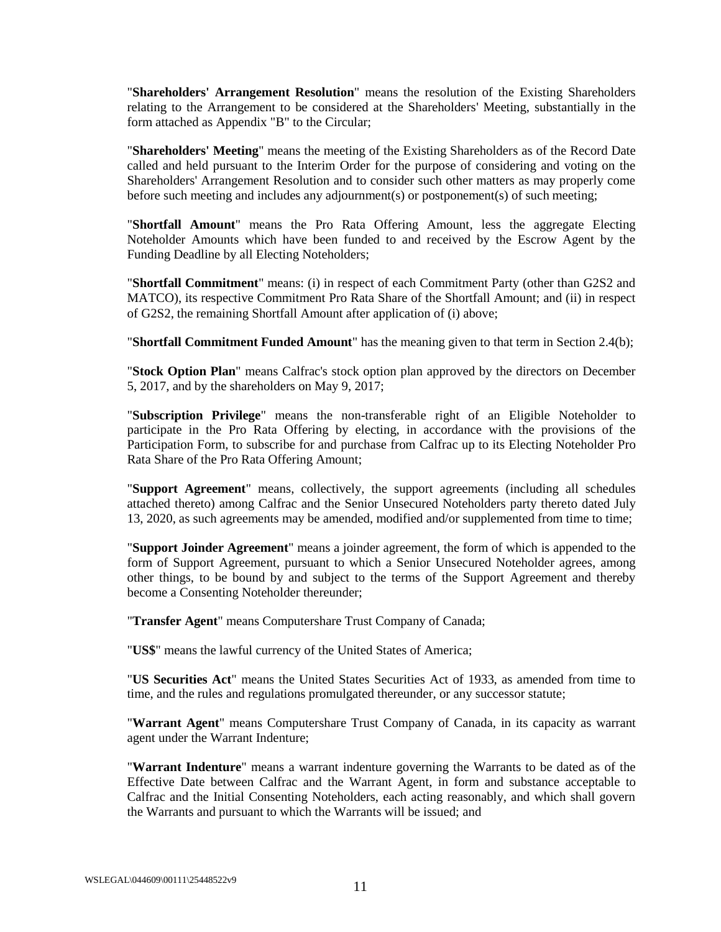"**Shareholders' Arrangement Resolution**" means the resolution of the Existing Shareholders relating to the Arrangement to be considered at the Shareholders' Meeting, substantially in the form attached as Appendix "B" to the Circular;

"**Shareholders' Meeting**" means the meeting of the Existing Shareholders as of the Record Date called and held pursuant to the Interim Order for the purpose of considering and voting on the Shareholders' Arrangement Resolution and to consider such other matters as may properly come before such meeting and includes any adjournment(s) or postponement(s) of such meeting;

"**Shortfall Amount**" means the Pro Rata Offering Amount, less the aggregate Electing Noteholder Amounts which have been funded to and received by the Escrow Agent by the Funding Deadline by all Electing Noteholders;

"**Shortfall Commitment**" means: (i) in respect of each Commitment Party (other than G2S2 and MATCO), its respective Commitment Pro Rata Share of the Shortfall Amount; and (ii) in respect of G2S2, the remaining Shortfall Amount after application of (i) above;

"**Shortfall Commitment Funded Amount**" has the meaning given to that term in Section [2.4\(b\);](#page-20-3)

"**Stock Option Plan**" means Calfrac's stock option plan approved by the directors on December 5, 2017, and by the shareholders on May 9, 2017;

"**Subscription Privilege**" means the non-transferable right of an Eligible Noteholder to participate in the Pro Rata Offering by electing, in accordance with the provisions of the Participation Form, to subscribe for and purchase from Calfrac up to its Electing Noteholder Pro Rata Share of the Pro Rata Offering Amount;

"**Support Agreement**" means, collectively, the support agreements (including all schedules attached thereto) among Calfrac and the Senior Unsecured Noteholders party thereto dated July 13, 2020, as such agreements may be amended, modified and/or supplemented from time to time;

"**Support Joinder Agreement**" means a joinder agreement, the form of which is appended to the form of Support Agreement, pursuant to which a Senior Unsecured Noteholder agrees, among other things, to be bound by and subject to the terms of the Support Agreement and thereby become a Consenting Noteholder thereunder;

"**Transfer Agent**" means Computershare Trust Company of Canada;

"**US\$**" means the lawful currency of the United States of America;

"**US Securities Act**" means the United States Securities Act of 1933, as amended from time to time, and the rules and regulations promulgated thereunder, or any successor statute;

"**Warrant Agent**" means Computershare Trust Company of Canada, in its capacity as warrant agent under the Warrant Indenture;

"**Warrant Indenture**" means a warrant indenture governing the Warrants to be dated as of the Effective Date between Calfrac and the Warrant Agent, in form and substance acceptable to Calfrac and the Initial Consenting Noteholders, each acting reasonably, and which shall govern the Warrants and pursuant to which the Warrants will be issued; and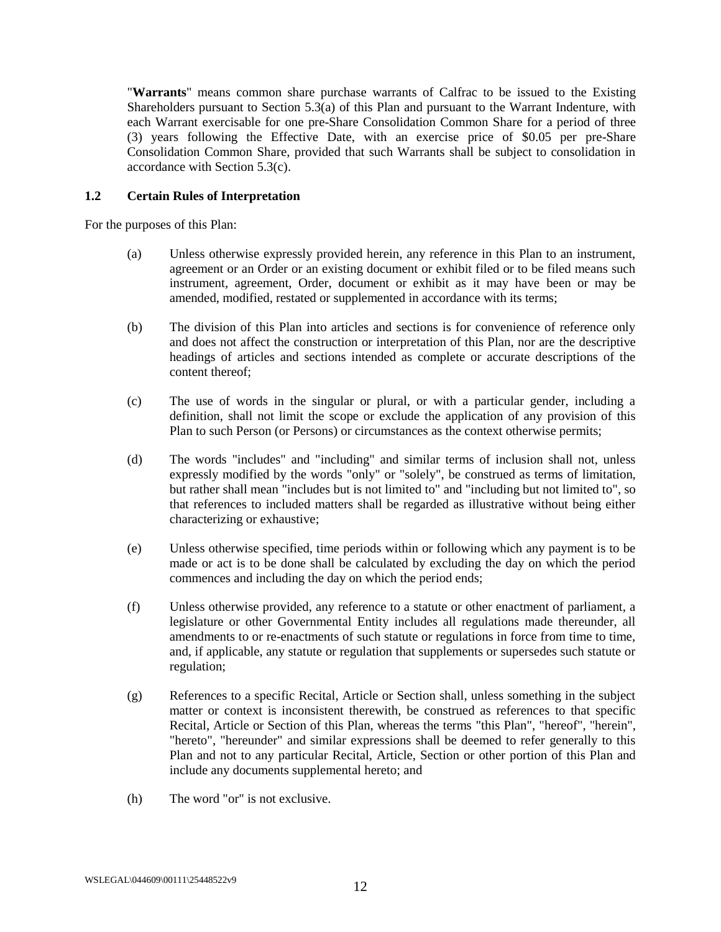"**Warrants**" means common share purchase warrants of Calfrac to be issued to the Existing Shareholders pursuant to Section [5.3\(a\)](#page-29-2) of this Plan and pursuant to the Warrant Indenture, with each Warrant exercisable for one pre-Share Consolidation Common Share for a period of three (3) years following the Effective Date, with an exercise price of \$0.05 per pre-Share Consolidation Common Share, provided that such Warrants shall be subject to consolidation in accordance with Section [5.3\(c\).](#page-29-3)

### <span id="page-18-0"></span>**1.2 Certain Rules of Interpretation**

For the purposes of this Plan:

- (a) Unless otherwise expressly provided herein, any reference in this Plan to an instrument, agreement or an Order or an existing document or exhibit filed or to be filed means such instrument, agreement, Order, document or exhibit as it may have been or may be amended, modified, restated or supplemented in accordance with its terms;
- (b) The division of this Plan into articles and sections is for convenience of reference only and does not affect the construction or interpretation of this Plan, nor are the descriptive headings of articles and sections intended as complete or accurate descriptions of the content thereof;
- (c) The use of words in the singular or plural, or with a particular gender, including a definition, shall not limit the scope or exclude the application of any provision of this Plan to such Person (or Persons) or circumstances as the context otherwise permits;
- (d) The words "includes" and "including" and similar terms of inclusion shall not, unless expressly modified by the words "only" or "solely", be construed as terms of limitation, but rather shall mean "includes but is not limited to" and "including but not limited to", so that references to included matters shall be regarded as illustrative without being either characterizing or exhaustive;
- (e) Unless otherwise specified, time periods within or following which any payment is to be made or act is to be done shall be calculated by excluding the day on which the period commences and including the day on which the period ends;
- (f) Unless otherwise provided, any reference to a statute or other enactment of parliament, a legislature or other Governmental Entity includes all regulations made thereunder, all amendments to or re-enactments of such statute or regulations in force from time to time, and, if applicable, any statute or regulation that supplements or supersedes such statute or regulation;
- (g) References to a specific Recital, Article or Section shall, unless something in the subject matter or context is inconsistent therewith, be construed as references to that specific Recital, Article or Section of this Plan, whereas the terms "this Plan", "hereof", "herein", "hereto", "hereunder" and similar expressions shall be deemed to refer generally to this Plan and not to any particular Recital, Article, Section or other portion of this Plan and include any documents supplemental hereto; and
- (h) The word "or" is not exclusive.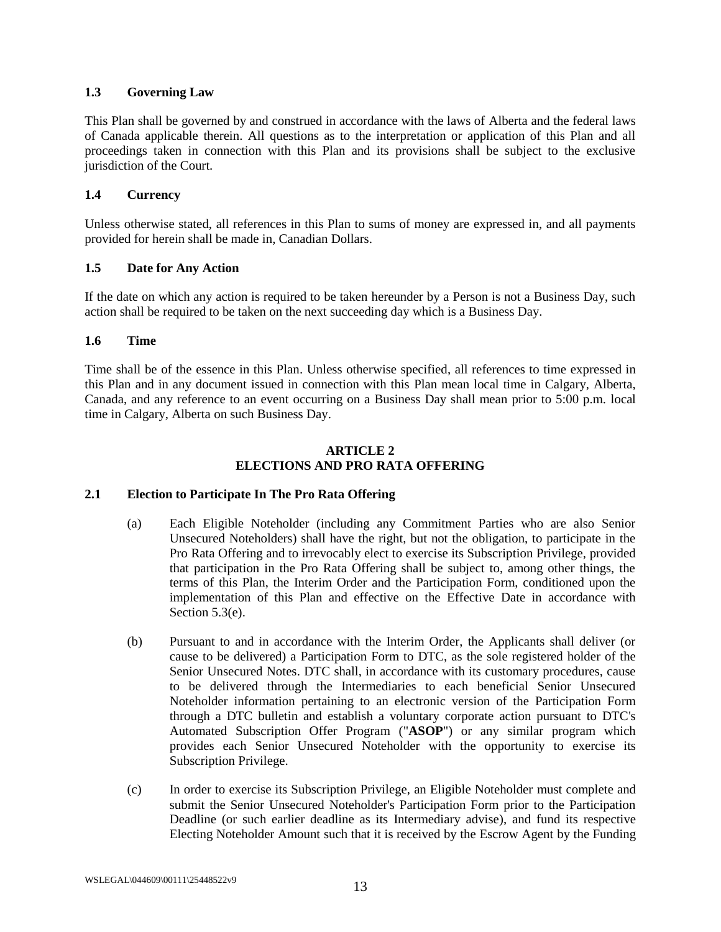### <span id="page-19-0"></span>**1.3 Governing Law**

This Plan shall be governed by and construed in accordance with the laws of Alberta and the federal laws of Canada applicable therein. All questions as to the interpretation or application of this Plan and all proceedings taken in connection with this Plan and its provisions shall be subject to the exclusive jurisdiction of the Court.

## <span id="page-19-1"></span>**1.4 Currency**

Unless otherwise stated, all references in this Plan to sums of money are expressed in, and all payments provided for herein shall be made in, Canadian Dollars.

## <span id="page-19-2"></span>**1.5 Date for Any Action**

If the date on which any action is required to be taken hereunder by a Person is not a Business Day, such action shall be required to be taken on the next succeeding day which is a Business Day.

### <span id="page-19-3"></span>**1.6 Time**

Time shall be of the essence in this Plan. Unless otherwise specified, all references to time expressed in this Plan and in any document issued in connection with this Plan mean local time in Calgary, Alberta, Canada, and any reference to an event occurring on a Business Day shall mean prior to 5:00 p.m. local time in Calgary, Alberta on such Business Day.

#### **ARTICLE 2 ELECTIONS AND PRO RATA OFFERING**

### <span id="page-19-5"></span><span id="page-19-4"></span>**2.1 Election to Participate In The Pro Rata Offering**

- (a) Each Eligible Noteholder (including any Commitment Parties who are also Senior Unsecured Noteholders) shall have the right, but not the obligation, to participate in the Pro Rata Offering and to irrevocably elect to exercise its Subscription Privilege, provided that participation in the Pro Rata Offering shall be subject to, among other things, the terms of this Plan, the Interim Order and the Participation Form, conditioned upon the implementation of this Plan and effective on the Effective Date in accordance with Sectio[n 5.3\(e\).](#page-30-0)
- (b) Pursuant to and in accordance with the Interim Order, the Applicants shall deliver (or cause to be delivered) a Participation Form to DTC, as the sole registered holder of the Senior Unsecured Notes. DTC shall, in accordance with its customary procedures, cause to be delivered through the Intermediaries to each beneficial Senior Unsecured Noteholder information pertaining to an electronic version of the Participation Form through a DTC bulletin and establish a voluntary corporate action pursuant to DTC's Automated Subscription Offer Program ("**ASOP**") or any similar program which provides each Senior Unsecured Noteholder with the opportunity to exercise its Subscription Privilege.
- <span id="page-19-6"></span>(c) In order to exercise its Subscription Privilege, an Eligible Noteholder must complete and submit the Senior Unsecured Noteholder's Participation Form prior to the Participation Deadline (or such earlier deadline as its Intermediary advise), and fund its respective Electing Noteholder Amount such that it is received by the Escrow Agent by the Funding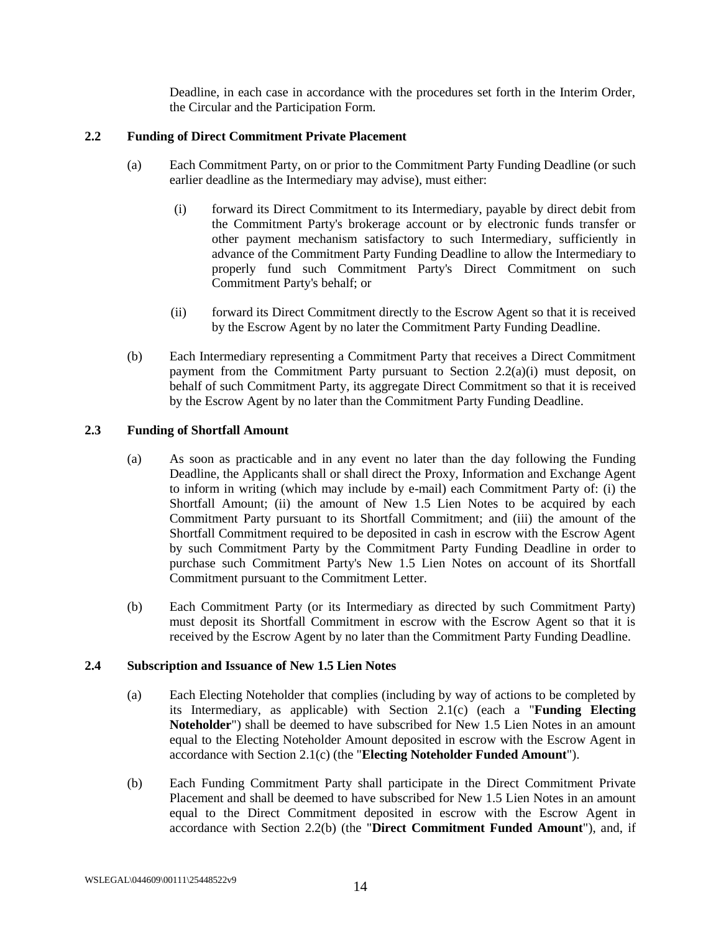Deadline, in each case in accordance with the procedures set forth in the Interim Order, the Circular and the Participation Form.

## <span id="page-20-0"></span>**2.2 Funding of Direct Commitment Private Placement**

- <span id="page-20-7"></span>(a) Each Commitment Party, on or prior to the Commitment Party Funding Deadline (or such earlier deadline as the Intermediary may advise), must either:
	- (i) forward its Direct Commitment to its Intermediary, payable by direct debit from the Commitment Party's brokerage account or by electronic funds transfer or other payment mechanism satisfactory to such Intermediary, sufficiently in advance of the Commitment Party Funding Deadline to allow the Intermediary to properly fund such Commitment Party's Direct Commitment on such Commitment Party's behalf; or
	- (ii) forward its Direct Commitment directly to the Escrow Agent so that it is received by the Escrow Agent by no later the Commitment Party Funding Deadline.
- <span id="page-20-5"></span>(b) Each Intermediary representing a Commitment Party that receives a Direct Commitment payment from the Commitment Party pursuant to Section [2.2\(a\)\(i\)](#page-20-7) must deposit, on behalf of such Commitment Party, its aggregate Direct Commitment so that it is received by the Escrow Agent by no later than the Commitment Party Funding Deadline.

### <span id="page-20-1"></span>**2.3 Funding of Shortfall Amount**

- (a) As soon as practicable and in any event no later than the day following the Funding Deadline, the Applicants shall or shall direct the Proxy, Information and Exchange Agent to inform in writing (which may include by e-mail) each Commitment Party of: (i) the Shortfall Amount; (ii) the amount of New 1.5 Lien Notes to be acquired by each Commitment Party pursuant to its Shortfall Commitment; and (iii) the amount of the Shortfall Commitment required to be deposited in cash in escrow with the Escrow Agent by such Commitment Party by the Commitment Party Funding Deadline in order to purchase such Commitment Party's New 1.5 Lien Notes on account of its Shortfall Commitment pursuant to the Commitment Letter.
- <span id="page-20-6"></span>(b) Each Commitment Party (or its Intermediary as directed by such Commitment Party) must deposit its Shortfall Commitment in escrow with the Escrow Agent so that it is received by the Escrow Agent by no later than the Commitment Party Funding Deadline.

### <span id="page-20-4"></span><span id="page-20-2"></span>**2.4 Subscription and Issuance of New 1.5 Lien Notes**

- (a) Each Electing Noteholder that complies (including by way of actions to be completed by its Intermediary, as applicable) with Section [2.1\(c\)](#page-19-6) (each a "**Funding Electing Noteholder**") shall be deemed to have subscribed for New 1.5 Lien Notes in an amount equal to the Electing Noteholder Amount deposited in escrow with the Escrow Agent in accordance with Section [2.1\(c\)](#page-19-6) (the "**Electing Noteholder Funded Amount**").
- <span id="page-20-3"></span>(b) Each Funding Commitment Party shall participate in the Direct Commitment Private Placement and shall be deemed to have subscribed for New 1.5 Lien Notes in an amount equal to the Direct Commitment deposited in escrow with the Escrow Agent in accordance with Section [2.2\(b\)](#page-20-5) (the "**Direct Commitment Funded Amount**"), and, if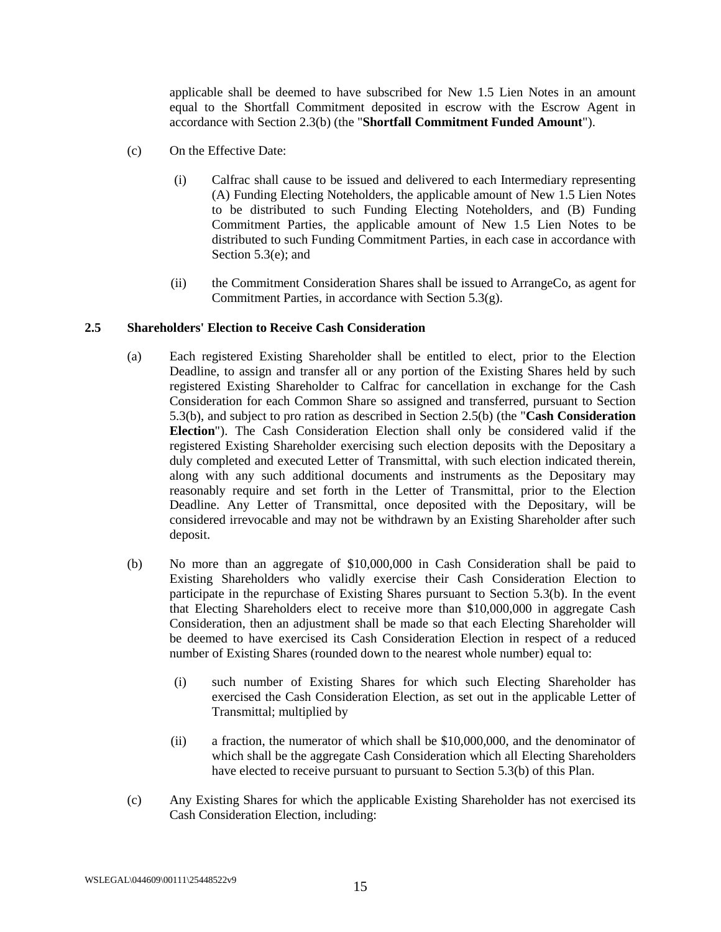applicable shall be deemed to have subscribed for New 1.5 Lien Notes in an amount equal to the Shortfall Commitment deposited in escrow with the Escrow Agent in accordance with Section [2.3\(b\)](#page-20-6) (the "**Shortfall Commitment Funded Amount**").

- (c) On the Effective Date:
	- (i) Calfrac shall cause to be issued and delivered to each Intermediary representing (A) Funding Electing Noteholders, the applicable amount of New 1.5 Lien Notes to be distributed to such Funding Electing Noteholders, and (B) Funding Commitment Parties, the applicable amount of New 1.5 Lien Notes to be distributed to such Funding Commitment Parties, in each case in accordance with Sectio[n 5.3\(e\);](#page-30-0) and
	- (ii) the Commitment Consideration Shares shall be issued to ArrangeCo, as agent for Commitment Parties, in accordance with Section [5.3\(g\).](#page-31-0)

### <span id="page-21-1"></span><span id="page-21-0"></span>**2.5 Shareholders' Election to Receive Cash Consideration**

- (a) Each registered Existing Shareholder shall be entitled to elect, prior to the Election Deadline, to assign and transfer all or any portion of the Existing Shares held by such registered Existing Shareholder to Calfrac for cancellation in exchange for the Cash Consideration for each Common Share so assigned and transferred, pursuant to Section [5.3\(b\),](#page-29-1) and subject to pro ration as described in Section [2.5\(b\)](#page-21-2) (the "**Cash Consideration Election**"). The Cash Consideration Election shall only be considered valid if the registered Existing Shareholder exercising such election deposits with the Depositary a duly completed and executed Letter of Transmittal, with such election indicated therein, along with any such additional documents and instruments as the Depositary may reasonably require and set forth in the Letter of Transmittal, prior to the Election Deadline. Any Letter of Transmittal, once deposited with the Depositary, will be considered irrevocable and may not be withdrawn by an Existing Shareholder after such deposit.
- <span id="page-21-2"></span>(b) No more than an aggregate of \$10,000,000 in Cash Consideration shall be paid to Existing Shareholders who validly exercise their Cash Consideration Election to participate in the repurchase of Existing Shares pursuant to Section [5.3\(b\).](#page-29-1) In the event that Electing Shareholders elect to receive more than \$10,000,000 in aggregate Cash Consideration, then an adjustment shall be made so that each Electing Shareholder will be deemed to have exercised its Cash Consideration Election in respect of a reduced number of Existing Shares (rounded down to the nearest whole number) equal to:
	- (i) such number of Existing Shares for which such Electing Shareholder has exercised the Cash Consideration Election, as set out in the applicable Letter of Transmittal; multiplied by
	- (ii) a fraction, the numerator of which shall be \$10,000,000, and the denominator of which shall be the aggregate Cash Consideration which all Electing Shareholders have elected to receive pursuant to pursuant to Section [5.3\(b\)](#page-29-1) of this Plan.
- (c) Any Existing Shares for which the applicable Existing Shareholder has not exercised its Cash Consideration Election, including: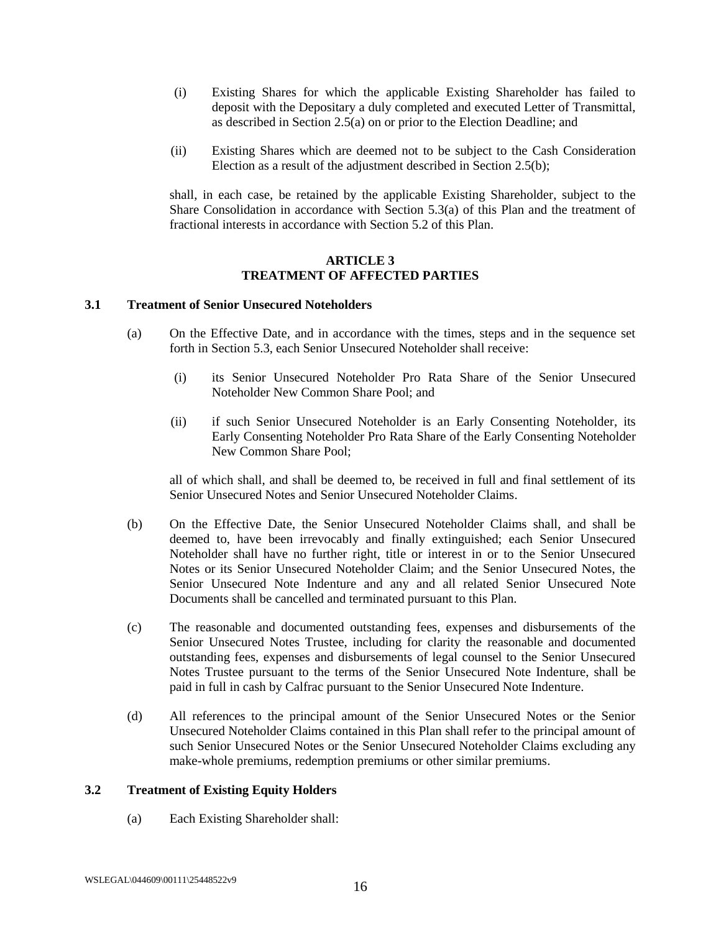- (i) Existing Shares for which the applicable Existing Shareholder has failed to deposit with the Depositary a duly completed and executed Letter of Transmittal, as described in Section [2.5\(a\)](#page-21-1) on or prior to the Election Deadline; and
- (ii) Existing Shares which are deemed not to be subject to the Cash Consideration Election as a result of the adjustment described in Section [2.5\(b\);](#page-21-2)

shall, in each case, be retained by the applicable Existing Shareholder, subject to the Share Consolidation in accordance with Section [5.3\(a\)](#page-29-2) of this Plan and the treatment of fractional interests in accordance with Section [5.2](#page-28-3) of this Plan.

#### **ARTICLE 3 TREATMENT OF AFFECTED PARTIES**

#### <span id="page-22-1"></span><span id="page-22-0"></span>**3.1 Treatment of Senior Unsecured Noteholders**

- (a) On the Effective Date, and in accordance with the times, steps and in the sequence set forth in Section [5.3,](#page-29-0) each Senior Unsecured Noteholder shall receive:
	- (i) its Senior Unsecured Noteholder Pro Rata Share of the Senior Unsecured Noteholder New Common Share Pool; and
	- (ii) if such Senior Unsecured Noteholder is an Early Consenting Noteholder, its Early Consenting Noteholder Pro Rata Share of the Early Consenting Noteholder New Common Share Pool;

all of which shall, and shall be deemed to, be received in full and final settlement of its Senior Unsecured Notes and Senior Unsecured Noteholder Claims.

- (b) On the Effective Date, the Senior Unsecured Noteholder Claims shall, and shall be deemed to, have been irrevocably and finally extinguished; each Senior Unsecured Noteholder shall have no further right, title or interest in or to the Senior Unsecured Notes or its Senior Unsecured Noteholder Claim; and the Senior Unsecured Notes, the Senior Unsecured Note Indenture and any and all related Senior Unsecured Note Documents shall be cancelled and terminated pursuant to this Plan.
- (c) The reasonable and documented outstanding fees, expenses and disbursements of the Senior Unsecured Notes Trustee, including for clarity the reasonable and documented outstanding fees, expenses and disbursements of legal counsel to the Senior Unsecured Notes Trustee pursuant to the terms of the Senior Unsecured Note Indenture, shall be paid in full in cash by Calfrac pursuant to the Senior Unsecured Note Indenture.
- (d) All references to the principal amount of the Senior Unsecured Notes or the Senior Unsecured Noteholder Claims contained in this Plan shall refer to the principal amount of such Senior Unsecured Notes or the Senior Unsecured Noteholder Claims excluding any make-whole premiums, redemption premiums or other similar premiums.

### <span id="page-22-2"></span>**3.2 Treatment of Existing Equity Holders**

(a) Each Existing Shareholder shall: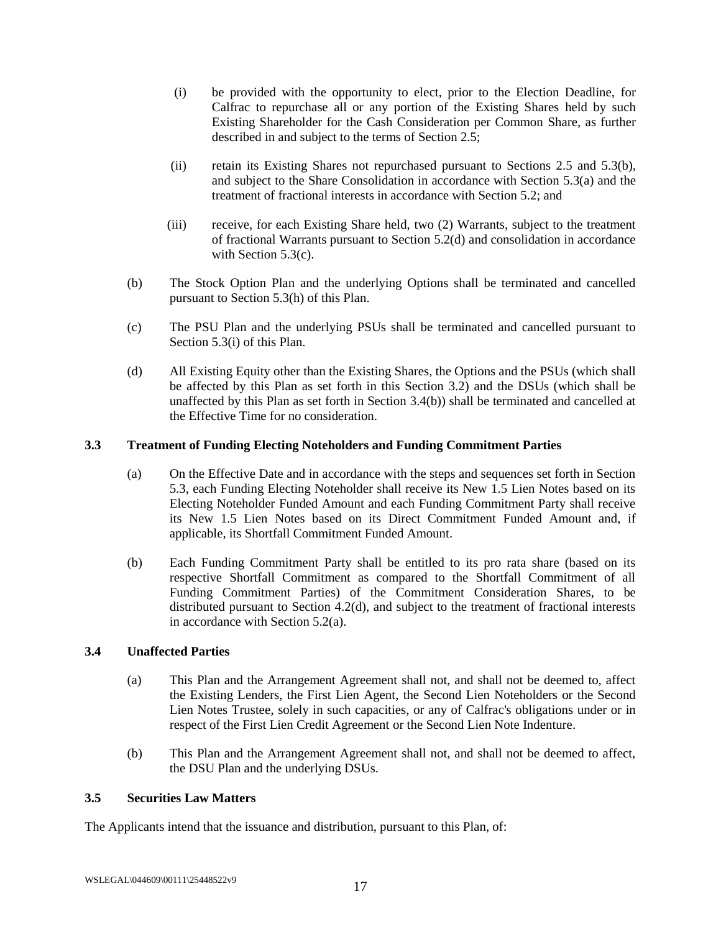- (i) be provided with the opportunity to elect, prior to the Election Deadline, for Calfrac to repurchase all or any portion of the Existing Shares held by such Existing Shareholder for the Cash Consideration per Common Share, as further described in and subject to the terms of Section [2.5;](#page-21-0)
- (ii) retain its Existing Shares not repurchased pursuant to Sections [2.5](#page-21-0) and [5.3\(b\),](#page-29-1) and subject to the Share Consolidation in accordance with Section [5.3\(a\)](#page-29-2) and the treatment of fractional interests in accordance with Section [5.2;](#page-28-3) and
- (iii) receive, for each Existing Share held, two (2) Warrants, subject to the treatment of fractional Warrants pursuant to Section [5.2\(d\)](#page-28-5) and consolidation in accordance with Section [5.3\(c\).](#page-29-3)
- (b) The Stock Option Plan and the underlying Options shall be terminated and cancelled pursuant to Sectio[n 5.3\(h\)](#page-31-1) of this Plan.
- (c) The PSU Plan and the underlying PSUs shall be terminated and cancelled pursuant to Sectio[n 5.3\(i\)](#page-31-2) of this Plan.
- (d) All Existing Equity other than the Existing Shares, the Options and the PSUs (which shall be affected by this Plan as set forth in this Section [3.2\)](#page-22-2) and the DSUs (which shall be unaffected by this Plan as set forth in Section [3.4\(b\)\)](#page-23-3) shall be terminated and cancelled at the Effective Time for no consideration.

#### <span id="page-23-0"></span>**3.3 Treatment of Funding Electing Noteholders and Funding Commitment Parties**

- (a) On the Effective Date and in accordance with the steps and sequences set forth in Section [5.3,](#page-29-0) each Funding Electing Noteholder shall receive its New 1.5 Lien Notes based on its Electing Noteholder Funded Amount and each Funding Commitment Party shall receive its New 1.5 Lien Notes based on its Direct Commitment Funded Amount and, if applicable, its Shortfall Commitment Funded Amount.
- <span id="page-23-4"></span>(b) Each Funding Commitment Party shall be entitled to its pro rata share (based on its respective Shortfall Commitment as compared to the Shortfall Commitment of all Funding Commitment Parties) of the Commitment Consideration Shares, to be distributed pursuant to Section [4.2\(d\),](#page-25-2) and subject to the treatment of fractional interests in accordance with Section [5.2\(a\).](#page-28-4)

### <span id="page-23-1"></span>**3.4 Unaffected Parties**

- (a) This Plan and the Arrangement Agreement shall not, and shall not be deemed to, affect the Existing Lenders, the First Lien Agent, the Second Lien Noteholders or the Second Lien Notes Trustee, solely in such capacities, or any of Calfrac's obligations under or in respect of the First Lien Credit Agreement or the Second Lien Note Indenture.
- (b) This Plan and the Arrangement Agreement shall not, and shall not be deemed to affect, the DSU Plan and the underlying DSUs.

#### <span id="page-23-3"></span><span id="page-23-2"></span>**3.5 Securities Law Matters**

The Applicants intend that the issuance and distribution, pursuant to this Plan, of: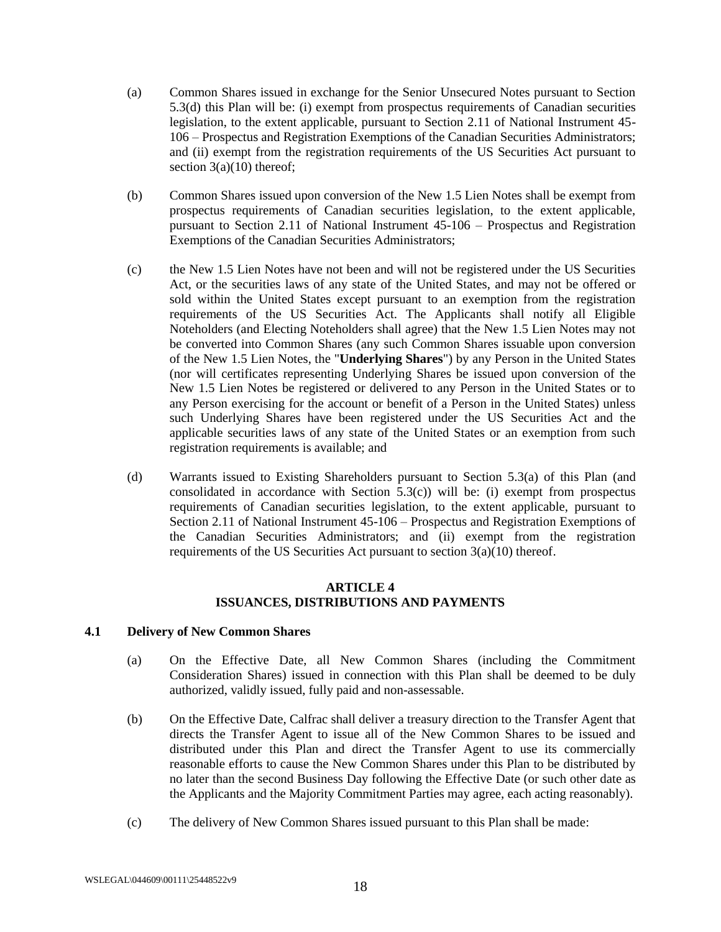- (a) Common Shares issued in exchange for the Senior Unsecured Notes pursuant to Section [5.3\(d\)](#page-29-4) this Plan will be: (i) exempt from prospectus requirements of Canadian securities legislation, to the extent applicable, pursuant to Section 2.11 of National Instrument 45- 106 – Prospectus and Registration Exemptions of the Canadian Securities Administrators; and (ii) exempt from the registration requirements of the US Securities Act pursuant to section  $3(a)(10)$  thereof;
- (b) Common Shares issued upon conversion of the New 1.5 Lien Notes shall be exempt from prospectus requirements of Canadian securities legislation, to the extent applicable, pursuant to Section 2.11 of National Instrument 45-106 – Prospectus and Registration Exemptions of the Canadian Securities Administrators;
- (c) the New 1.5 Lien Notes have not been and will not be registered under the US Securities Act, or the securities laws of any state of the United States, and may not be offered or sold within the United States except pursuant to an exemption from the registration requirements of the US Securities Act. The Applicants shall notify all Eligible Noteholders (and Electing Noteholders shall agree) that the New 1.5 Lien Notes may not be converted into Common Shares (any such Common Shares issuable upon conversion of the New 1.5 Lien Notes, the "**Underlying Shares**") by any Person in the United States (nor will certificates representing Underlying Shares be issued upon conversion of the New 1.5 Lien Notes be registered or delivered to any Person in the United States or to any Person exercising for the account or benefit of a Person in the United States) unless such Underlying Shares have been registered under the US Securities Act and the applicable securities laws of any state of the United States or an exemption from such registration requirements is available; and
- (d) Warrants issued to Existing Shareholders pursuant to Section [5.3\(a\)](#page-29-2) of this Plan (and consolidated in accordance with Section [5.3\(c\)\)](#page-29-3) will be: (i) exempt from prospectus requirements of Canadian securities legislation, to the extent applicable, pursuant to Section 2.11 of National Instrument 45-106 – Prospectus and Registration Exemptions of the Canadian Securities Administrators; and (ii) exempt from the registration requirements of the US Securities Act pursuant to section  $3(a)(10)$  thereof.

### **ARTICLE 4 ISSUANCES, DISTRIBUTIONS AND PAYMENTS**

### <span id="page-24-1"></span><span id="page-24-0"></span>**4.1 Delivery of New Common Shares**

- (a) On the Effective Date, all New Common Shares (including the Commitment Consideration Shares) issued in connection with this Plan shall be deemed to be duly authorized, validly issued, fully paid and non-assessable.
- (b) On the Effective Date, Calfrac shall deliver a treasury direction to the Transfer Agent that directs the Transfer Agent to issue all of the New Common Shares to be issued and distributed under this Plan and direct the Transfer Agent to use its commercially reasonable efforts to cause the New Common Shares under this Plan to be distributed by no later than the second Business Day following the Effective Date (or such other date as the Applicants and the Majority Commitment Parties may agree, each acting reasonably).
- (c) The delivery of New Common Shares issued pursuant to this Plan shall be made: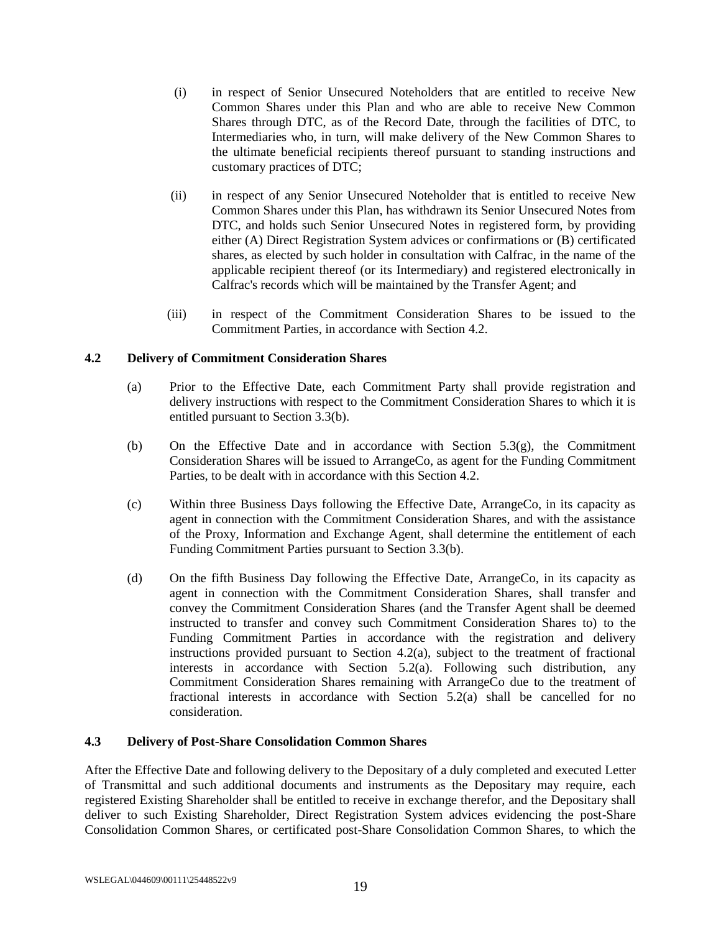- (i) in respect of Senior Unsecured Noteholders that are entitled to receive New Common Shares under this Plan and who are able to receive New Common Shares through DTC, as of the Record Date, through the facilities of DTC, to Intermediaries who, in turn, will make delivery of the New Common Shares to the ultimate beneficial recipients thereof pursuant to standing instructions and customary practices of DTC;
- (ii) in respect of any Senior Unsecured Noteholder that is entitled to receive New Common Shares under this Plan, has withdrawn its Senior Unsecured Notes from DTC, and holds such Senior Unsecured Notes in registered form, by providing either (A) Direct Registration System advices or confirmations or (B) certificated shares, as elected by such holder in consultation with Calfrac, in the name of the applicable recipient thereof (or its Intermediary) and registered electronically in Calfrac's records which will be maintained by the Transfer Agent; and
- (iii) in respect of the Commitment Consideration Shares to be issued to the Commitment Parties, in accordance with Section [4.2.](#page-25-0)

### <span id="page-25-3"></span><span id="page-25-0"></span>**4.2 Delivery of Commitment Consideration Shares**

- (a) Prior to the Effective Date, each Commitment Party shall provide registration and delivery instructions with respect to the Commitment Consideration Shares to which it is entitled pursuant to Section [3.3\(b\).](#page-23-4)
- (b) On the Effective Date and in accordance with Section [5.3\(g\),](#page-31-0) the Commitment Consideration Shares will be issued to ArrangeCo, as agent for the Funding Commitment Parties, to be dealt with in accordance with this Section [4.2.](#page-25-0)
- (c) Within three Business Days following the Effective Date, ArrangeCo, in its capacity as agent in connection with the Commitment Consideration Shares, and with the assistance of the Proxy, Information and Exchange Agent, shall determine the entitlement of each Funding Commitment Parties pursuant to Section [3.3\(b\).](#page-23-4)
- <span id="page-25-2"></span>(d) On the fifth Business Day following the Effective Date, ArrangeCo, in its capacity as agent in connection with the Commitment Consideration Shares, shall transfer and convey the Commitment Consideration Shares (and the Transfer Agent shall be deemed instructed to transfer and convey such Commitment Consideration Shares to) to the Funding Commitment Parties in accordance with the registration and delivery instructions provided pursuant to Section [4.2\(a\),](#page-25-3) subject to the treatment of fractional interests in accordance with Section [5.2\(a\).](#page-28-4) Following such distribution, any Commitment Consideration Shares remaining with ArrangeCo due to the treatment of fractional interests in accordance with Section [5.2\(a\)](#page-28-4) shall be cancelled for no consideration.

### <span id="page-25-1"></span>**4.3 Delivery of Post-Share Consolidation Common Shares**

After the Effective Date and following delivery to the Depositary of a duly completed and executed Letter of Transmittal and such additional documents and instruments as the Depositary may require, each registered Existing Shareholder shall be entitled to receive in exchange therefor, and the Depositary shall deliver to such Existing Shareholder, Direct Registration System advices evidencing the post-Share Consolidation Common Shares, or certificated post-Share Consolidation Common Shares, to which the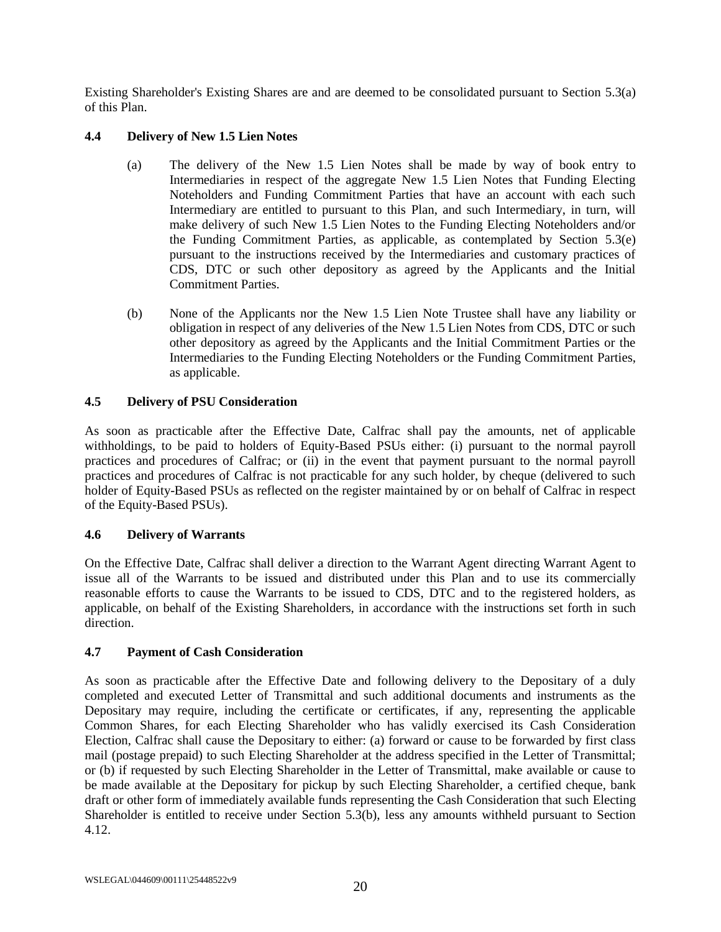Existing Shareholder's Existing Shares are and are deemed to be consolidated pursuant to Section [5.3\(a\)](#page-29-2) of this Plan.

## <span id="page-26-0"></span>**4.4 Delivery of New 1.5 Lien Notes**

- (a) The delivery of the New 1.5 Lien Notes shall be made by way of book entry to Intermediaries in respect of the aggregate New 1.5 Lien Notes that Funding Electing Noteholders and Funding Commitment Parties that have an account with each such Intermediary are entitled to pursuant to this Plan, and such Intermediary, in turn, will make delivery of such New 1.5 Lien Notes to the Funding Electing Noteholders and/or the Funding Commitment Parties, as applicable, as contemplated by Section [5.3\(e\)](#page-30-0) pursuant to the instructions received by the Intermediaries and customary practices of CDS, DTC or such other depository as agreed by the Applicants and the Initial Commitment Parties.
- (b) None of the Applicants nor the New 1.5 Lien Note Trustee shall have any liability or obligation in respect of any deliveries of the New 1.5 Lien Notes from CDS, DTC or such other depository as agreed by the Applicants and the Initial Commitment Parties or the Intermediaries to the Funding Electing Noteholders or the Funding Commitment Parties, as applicable.

## <span id="page-26-1"></span>**4.5 Delivery of PSU Consideration**

As soon as practicable after the Effective Date, Calfrac shall pay the amounts, net of applicable withholdings, to be paid to holders of Equity-Based PSUs either: (i) pursuant to the normal payroll practices and procedures of Calfrac; or (ii) in the event that payment pursuant to the normal payroll practices and procedures of Calfrac is not practicable for any such holder, by cheque (delivered to such holder of Equity-Based PSUs as reflected on the register maintained by or on behalf of Calfrac in respect of the Equity-Based PSUs).

### <span id="page-26-2"></span>**4.6 Delivery of Warrants**

On the Effective Date, Calfrac shall deliver a direction to the Warrant Agent directing Warrant Agent to issue all of the Warrants to be issued and distributed under this Plan and to use its commercially reasonable efforts to cause the Warrants to be issued to CDS, DTC and to the registered holders, as applicable, on behalf of the Existing Shareholders, in accordance with the instructions set forth in such direction.

### <span id="page-26-3"></span>**4.7 Payment of Cash Consideration**

As soon as practicable after the Effective Date and following delivery to the Depositary of a duly completed and executed Letter of Transmittal and such additional documents and instruments as the Depositary may require, including the certificate or certificates, if any, representing the applicable Common Shares, for each Electing Shareholder who has validly exercised its Cash Consideration Election, Calfrac shall cause the Depositary to either: (a) forward or cause to be forwarded by first class mail (postage prepaid) to such Electing Shareholder at the address specified in the Letter of Transmittal; or (b) if requested by such Electing Shareholder in the Letter of Transmittal, make available or cause to be made available at the Depositary for pickup by such Electing Shareholder, a certified cheque, bank draft or other form of immediately available funds representing the Cash Consideration that such Electing Shareholder is entitled to receive under Section [5.3\(b\),](#page-29-1) less any amounts withheld pursuant to Section [4.12.](#page-28-0)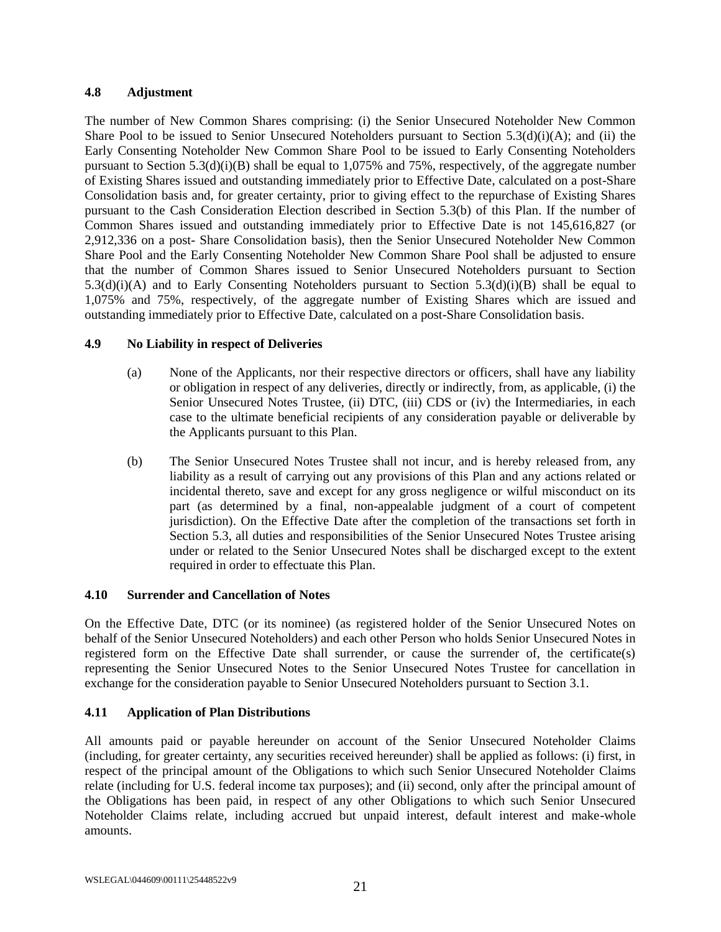### <span id="page-27-0"></span>**4.8 Adjustment**

The number of New Common Shares comprising: (i) the Senior Unsecured Noteholder New Common Share Pool to be issued to Senior Unsecured Noteholders pursuant to Section [5.3\(d\)\(i\)\(A\);](#page-30-1) and (ii) the Early Consenting Noteholder New Common Share Pool to be issued to Early Consenting Noteholders pursuant to Section  $5.3(d)(i)(B)$  shall be equal to 1,075% and 75%, respectively, of the aggregate number of Existing Shares issued and outstanding immediately prior to Effective Date, calculated on a post-Share Consolidation basis and, for greater certainty, prior to giving effect to the repurchase of Existing Shares pursuant to the Cash Consideration Election described in Section [5.3\(b\)](#page-29-1) of this Plan. If the number of Common Shares issued and outstanding immediately prior to Effective Date is not 145,616,827 (or 2,912,336 on a post- Share Consolidation basis), then the Senior Unsecured Noteholder New Common Share Pool and the Early Consenting Noteholder New Common Share Pool shall be adjusted to ensure that the number of Common Shares issued to Senior Unsecured Noteholders pursuant to Section [5.3\(d\)\(i\)\(A\)](#page-30-1) and to Early Consenting Noteholders pursuant to Section [5.3\(d\)\(i\)\(B\)](#page-30-2) shall be equal to 1,075% and 75%, respectively, of the aggregate number of Existing Shares which are issued and outstanding immediately prior to Effective Date, calculated on a post-Share Consolidation basis.

## <span id="page-27-1"></span>**4.9 No Liability in respect of Deliveries**

- (a) None of the Applicants, nor their respective directors or officers, shall have any liability or obligation in respect of any deliveries, directly or indirectly, from, as applicable, (i) the Senior Unsecured Notes Trustee, (ii) DTC, (iii) CDS or (iv) the Intermediaries, in each case to the ultimate beneficial recipients of any consideration payable or deliverable by the Applicants pursuant to this Plan.
- (b) The Senior Unsecured Notes Trustee shall not incur, and is hereby released from, any liability as a result of carrying out any provisions of this Plan and any actions related or incidental thereto, save and except for any gross negligence or wilful misconduct on its part (as determined by a final, non-appealable judgment of a court of competent jurisdiction). On the Effective Date after the completion of the transactions set forth in Section [5.3,](#page-29-0) all duties and responsibilities of the Senior Unsecured Notes Trustee arising under or related to the Senior Unsecured Notes shall be discharged except to the extent required in order to effectuate this Plan.

## <span id="page-27-2"></span>**4.10 Surrender and Cancellation of Notes**

On the Effective Date, DTC (or its nominee) (as registered holder of the Senior Unsecured Notes on behalf of the Senior Unsecured Noteholders) and each other Person who holds Senior Unsecured Notes in registered form on the Effective Date shall surrender, or cause the surrender of, the certificate(s) representing the Senior Unsecured Notes to the Senior Unsecured Notes Trustee for cancellation in exchange for the consideration payable to Senior Unsecured Noteholders pursuant to Section [3.1.](#page-22-1)

## <span id="page-27-3"></span>**4.11 Application of Plan Distributions**

All amounts paid or payable hereunder on account of the Senior Unsecured Noteholder Claims (including, for greater certainty, any securities received hereunder) shall be applied as follows: (i) first, in respect of the principal amount of the Obligations to which such Senior Unsecured Noteholder Claims relate (including for U.S. federal income tax purposes); and (ii) second, only after the principal amount of the Obligations has been paid, in respect of any other Obligations to which such Senior Unsecured Noteholder Claims relate, including accrued but unpaid interest, default interest and make-whole amounts.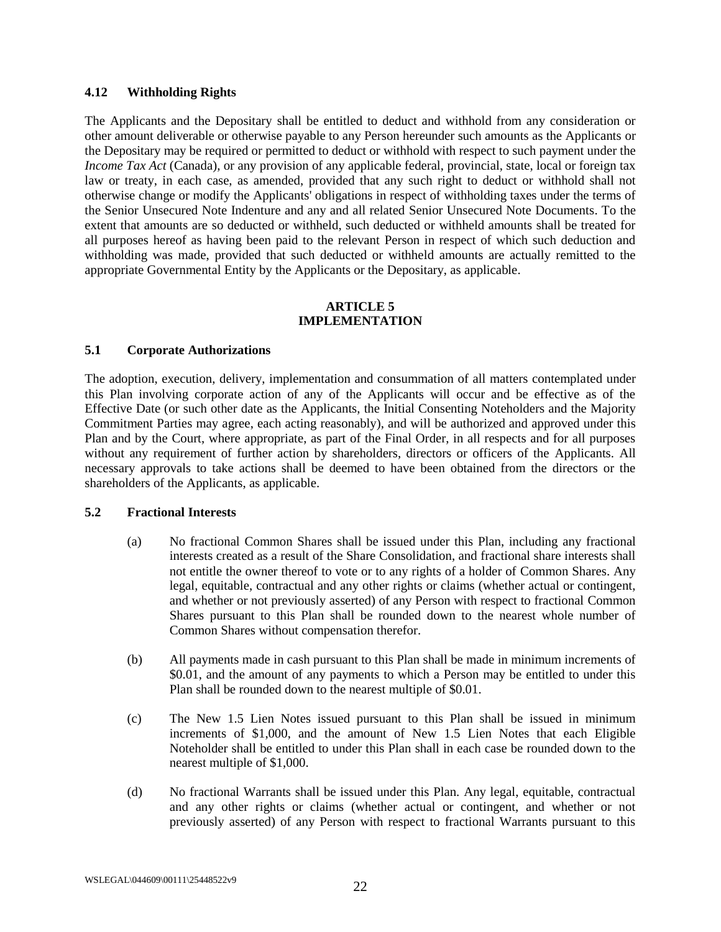#### <span id="page-28-0"></span>**4.12 Withholding Rights**

The Applicants and the Depositary shall be entitled to deduct and withhold from any consideration or other amount deliverable or otherwise payable to any Person hereunder such amounts as the Applicants or the Depositary may be required or permitted to deduct or withhold with respect to such payment under the *Income Tax Act* (Canada), or any provision of any applicable federal, provincial, state, local or foreign tax law or treaty, in each case, as amended, provided that any such right to deduct or withhold shall not otherwise change or modify the Applicants' obligations in respect of withholding taxes under the terms of the Senior Unsecured Note Indenture and any and all related Senior Unsecured Note Documents. To the extent that amounts are so deducted or withheld, such deducted or withheld amounts shall be treated for all purposes hereof as having been paid to the relevant Person in respect of which such deduction and withholding was made, provided that such deducted or withheld amounts are actually remitted to the appropriate Governmental Entity by the Applicants or the Depositary, as applicable.

#### **ARTICLE 5 IMPLEMENTATION**

#### <span id="page-28-2"></span><span id="page-28-1"></span>**5.1 Corporate Authorizations**

The adoption, execution, delivery, implementation and consummation of all matters contemplated under this Plan involving corporate action of any of the Applicants will occur and be effective as of the Effective Date (or such other date as the Applicants, the Initial Consenting Noteholders and the Majority Commitment Parties may agree, each acting reasonably), and will be authorized and approved under this Plan and by the Court, where appropriate, as part of the Final Order, in all respects and for all purposes without any requirement of further action by shareholders, directors or officers of the Applicants. All necessary approvals to take actions shall be deemed to have been obtained from the directors or the shareholders of the Applicants, as applicable.

#### <span id="page-28-4"></span><span id="page-28-3"></span>**5.2 Fractional Interests**

- (a) No fractional Common Shares shall be issued under this Plan, including any fractional interests created as a result of the Share Consolidation, and fractional share interests shall not entitle the owner thereof to vote or to any rights of a holder of Common Shares. Any legal, equitable, contractual and any other rights or claims (whether actual or contingent, and whether or not previously asserted) of any Person with respect to fractional Common Shares pursuant to this Plan shall be rounded down to the nearest whole number of Common Shares without compensation therefor.
- (b) All payments made in cash pursuant to this Plan shall be made in minimum increments of \$0.01, and the amount of any payments to which a Person may be entitled to under this Plan shall be rounded down to the nearest multiple of \$0.01.
- (c) The New 1.5 Lien Notes issued pursuant to this Plan shall be issued in minimum increments of \$1,000, and the amount of New 1.5 Lien Notes that each Eligible Noteholder shall be entitled to under this Plan shall in each case be rounded down to the nearest multiple of \$1,000.
- <span id="page-28-5"></span>(d) No fractional Warrants shall be issued under this Plan. Any legal, equitable, contractual and any other rights or claims (whether actual or contingent, and whether or not previously asserted) of any Person with respect to fractional Warrants pursuant to this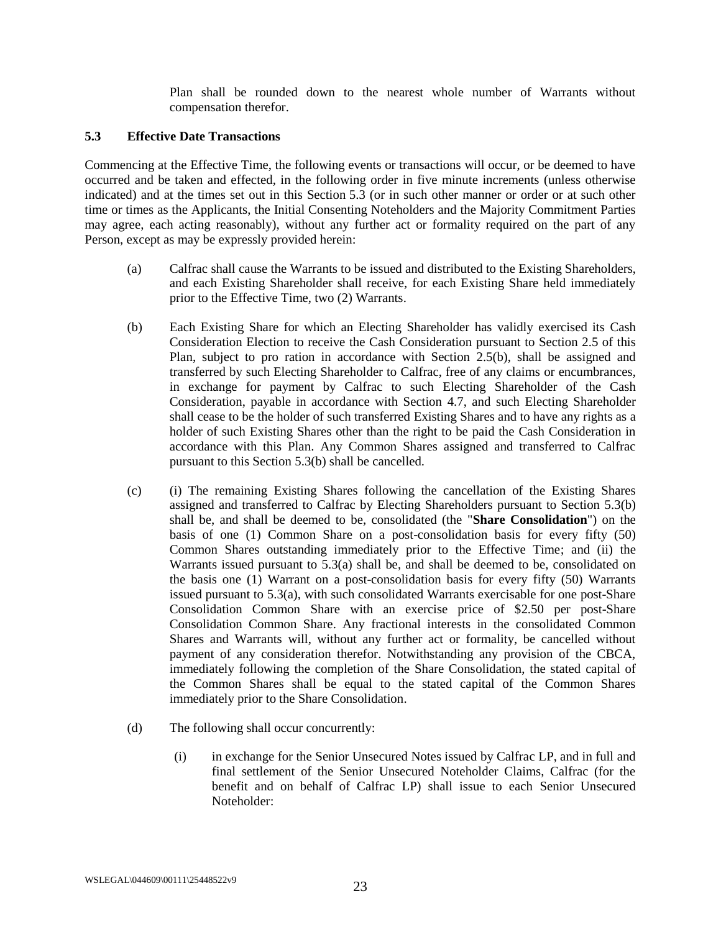Plan shall be rounded down to the nearest whole number of Warrants without compensation therefor.

## <span id="page-29-0"></span>**5.3 Effective Date Transactions**

Commencing at the Effective Time, the following events or transactions will occur, or be deemed to have occurred and be taken and effected, in the following order in five minute increments (unless otherwise indicated) and at the times set out in this Section [5.3](#page-29-0) (or in such other manner or order or at such other time or times as the Applicants, the Initial Consenting Noteholders and the Majority Commitment Parties may agree, each acting reasonably), without any further act or formality required on the part of any Person, except as may be expressly provided herein:

- <span id="page-29-2"></span>(a) Calfrac shall cause the Warrants to be issued and distributed to the Existing Shareholders, and each Existing Shareholder shall receive, for each Existing Share held immediately prior to the Effective Time, two (2) Warrants.
- <span id="page-29-1"></span>(b) Each Existing Share for which an Electing Shareholder has validly exercised its Cash Consideration Election to receive the Cash Consideration pursuant to Section [2.5](#page-21-0) of this Plan, subject to pro ration in accordance with Section [2.5\(b\),](#page-21-2) shall be assigned and transferred by such Electing Shareholder to Calfrac, free of any claims or encumbrances, in exchange for payment by Calfrac to such Electing Shareholder of the Cash Consideration, payable in accordance with Section [4.7,](#page-26-3) and such Electing Shareholder shall cease to be the holder of such transferred Existing Shares and to have any rights as a holder of such Existing Shares other than the right to be paid the Cash Consideration in accordance with this Plan. Any Common Shares assigned and transferred to Calfrac pursuant to this Section [5.3\(b\)](#page-29-1) shall be cancelled.
- <span id="page-29-3"></span>(c) (i) The remaining Existing Shares following the cancellation of the Existing Shares assigned and transferred to Calfrac by Electing Shareholders pursuant to Section [5.3\(b\)](#page-29-1) shall be, and shall be deemed to be, consolidated (the "**Share Consolidation**") on the basis of one (1) Common Share on a post-consolidation basis for every fifty (50) Common Shares outstanding immediately prior to the Effective Time; and (ii) the Warrants issued pursuant to [5.3\(a\)](#page-29-2) shall be, and shall be deemed to be, consolidated on the basis one (1) Warrant on a post-consolidation basis for every fifty (50) Warrants issued pursuant to [5.3\(a\),](#page-29-2) with such consolidated Warrants exercisable for one post-Share Consolidation Common Share with an exercise price of \$2.50 per post-Share Consolidation Common Share. Any fractional interests in the consolidated Common Shares and Warrants will, without any further act or formality, be cancelled without payment of any consideration therefor. Notwithstanding any provision of the CBCA, immediately following the completion of the Share Consolidation, the stated capital of the Common Shares shall be equal to the stated capital of the Common Shares immediately prior to the Share Consolidation.
- <span id="page-29-5"></span><span id="page-29-4"></span>(d) The following shall occur concurrently:
	- (i) in exchange for the Senior Unsecured Notes issued by Calfrac LP, and in full and final settlement of the Senior Unsecured Noteholder Claims, Calfrac (for the benefit and on behalf of Calfrac LP) shall issue to each Senior Unsecured Noteholder: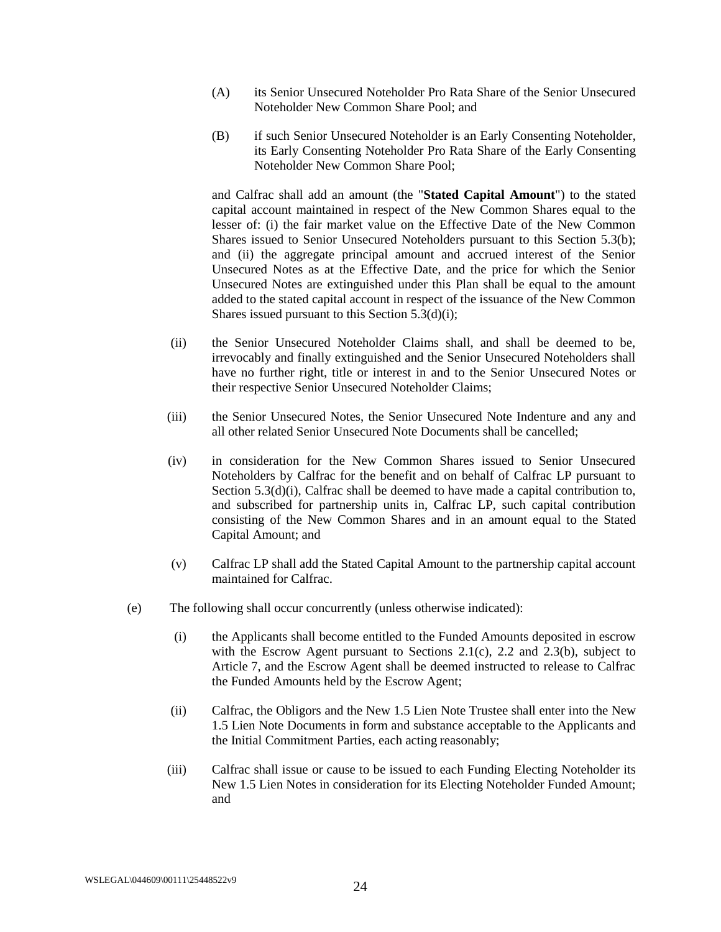- <span id="page-30-1"></span>(A) its Senior Unsecured Noteholder Pro Rata Share of the Senior Unsecured Noteholder New Common Share Pool; and
- <span id="page-30-2"></span>(B) if such Senior Unsecured Noteholder is an Early Consenting Noteholder, its Early Consenting Noteholder Pro Rata Share of the Early Consenting Noteholder New Common Share Pool;

and Calfrac shall add an amount (the "**Stated Capital Amount**") to the stated capital account maintained in respect of the New Common Shares equal to the lesser of: (i) the fair market value on the Effective Date of the New Common Shares issued to Senior Unsecured Noteholders pursuant to this Section 5.3(b); and (ii) the aggregate principal amount and accrued interest of the Senior Unsecured Notes as at the Effective Date, and the price for which the Senior Unsecured Notes are extinguished under this Plan shall be equal to the amount added to the stated capital account in respect of the issuance of the New Common Shares issued pursuant to this Sectio[n 5.3\(d\)\(i\);](#page-29-5)

- (ii) the Senior Unsecured Noteholder Claims shall, and shall be deemed to be, irrevocably and finally extinguished and the Senior Unsecured Noteholders shall have no further right, title or interest in and to the Senior Unsecured Notes or their respective Senior Unsecured Noteholder Claims;
- (iii) the Senior Unsecured Notes, the Senior Unsecured Note Indenture and any and all other related Senior Unsecured Note Documents shall be cancelled;
- (iv) in consideration for the New Common Shares issued to Senior Unsecured Noteholders by Calfrac for the benefit and on behalf of Calfrac LP pursuant to Section [5.3\(d\)\(i\),](#page-29-5) Calfrac shall be deemed to have made a capital contribution to, and subscribed for partnership units in, Calfrac LP, such capital contribution consisting of the New Common Shares and in an amount equal to the Stated Capital Amount; and
- (v) Calfrac LP shall add the Stated Capital Amount to the partnership capital account maintained for Calfrac.
- <span id="page-30-3"></span><span id="page-30-0"></span>(e) The following shall occur concurrently (unless otherwise indicated):
	- (i) the Applicants shall become entitled to the Funded Amounts deposited in escrow with the Escrow Agent pursuant to Sections [2.1\(c\),](#page-19-6) [2.2](#page-20-0) and [2.3\(b\),](#page-20-6) subject to Article 7, and the Escrow Agent shall be deemed instructed to release to Calfrac the Funded Amounts held by the Escrow Agent;
	- (ii) Calfrac, the Obligors and the New 1.5 Lien Note Trustee shall enter into the New 1.5 Lien Note Documents in form and substance acceptable to the Applicants and the Initial Commitment Parties, each acting reasonably;
	- (iii) Calfrac shall issue or cause to be issued to each Funding Electing Noteholder its New 1.5 Lien Notes in consideration for its Electing Noteholder Funded Amount; and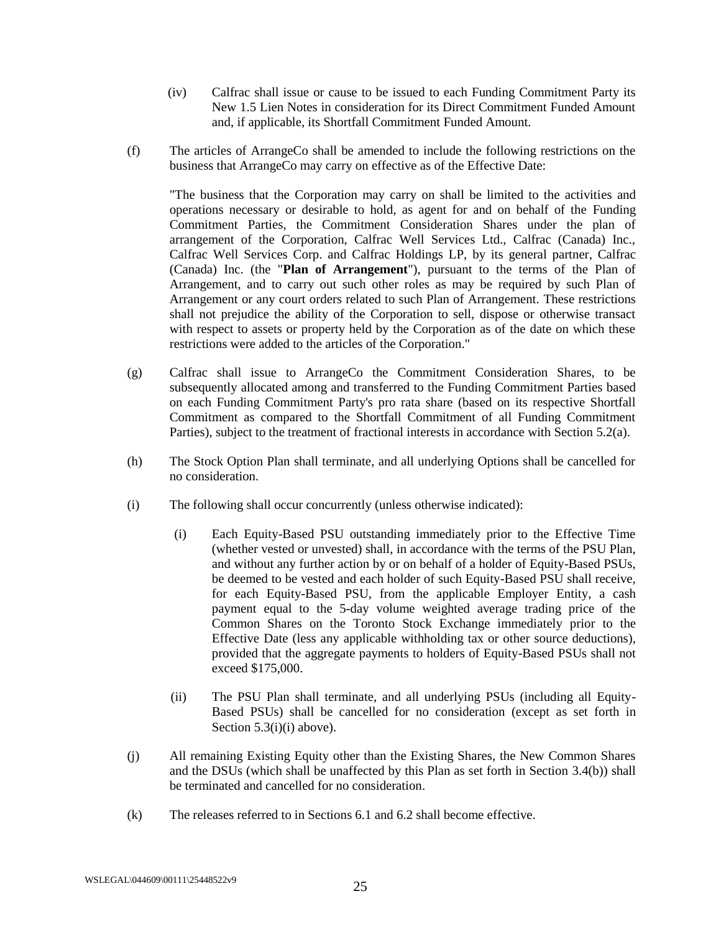- (iv) Calfrac shall issue or cause to be issued to each Funding Commitment Party its New 1.5 Lien Notes in consideration for its Direct Commitment Funded Amount and, if applicable, its Shortfall Commitment Funded Amount.
- (f) The articles of ArrangeCo shall be amended to include the following restrictions on the business that ArrangeCo may carry on effective as of the Effective Date:

"The business that the Corporation may carry on shall be limited to the activities and operations necessary or desirable to hold, as agent for and on behalf of the Funding Commitment Parties, the Commitment Consideration Shares under the plan of arrangement of the Corporation, Calfrac Well Services Ltd., Calfrac (Canada) Inc., Calfrac Well Services Corp. and Calfrac Holdings LP, by its general partner, Calfrac (Canada) Inc. (the "**Plan of Arrangement**"), pursuant to the terms of the Plan of Arrangement, and to carry out such other roles as may be required by such Plan of Arrangement or any court orders related to such Plan of Arrangement. These restrictions shall not prejudice the ability of the Corporation to sell, dispose or otherwise transact with respect to assets or property held by the Corporation as of the date on which these restrictions were added to the articles of the Corporation."

- <span id="page-31-0"></span>(g) Calfrac shall issue to ArrangeCo the Commitment Consideration Shares, to be subsequently allocated among and transferred to the Funding Commitment Parties based on each Funding Commitment Party's pro rata share (based on its respective Shortfall Commitment as compared to the Shortfall Commitment of all Funding Commitment Parties), subject to the treatment of fractional interests in accordance with Section [5.2\(a\).](#page-28-4)
- <span id="page-31-1"></span>(h) The Stock Option Plan shall terminate, and all underlying Options shall be cancelled for no consideration.
- <span id="page-31-3"></span><span id="page-31-2"></span>(i) The following shall occur concurrently (unless otherwise indicated):
	- (i) Each Equity-Based PSU outstanding immediately prior to the Effective Time (whether vested or unvested) shall, in accordance with the terms of the PSU Plan, and without any further action by or on behalf of a holder of Equity-Based PSUs, be deemed to be vested and each holder of such Equity-Based PSU shall receive, for each Equity-Based PSU, from the applicable Employer Entity, a cash payment equal to the 5-day volume weighted average trading price of the Common Shares on the Toronto Stock Exchange immediately prior to the Effective Date (less any applicable withholding tax or other source deductions), provided that the aggregate payments to holders of Equity-Based PSUs shall not exceed \$175,000.
	- (ii) The PSU Plan shall terminate, and all underlying PSUs (including all Equity-Based PSUs) shall be cancelled for no consideration (except as set forth in Sectio[n 5.3\(i\)\(i\)](#page-31-3) above).
- (j) All remaining Existing Equity other than the Existing Shares, the New Common Shares and the DSUs (which shall be unaffected by this Plan as set forth in Section [3.4\(b\)\)](#page-23-3) shall be terminated and cancelled for no consideration.
- (k) The releases referred to in Sections [6.1](#page-32-3) an[d 6.2](#page-33-0) shall become effective.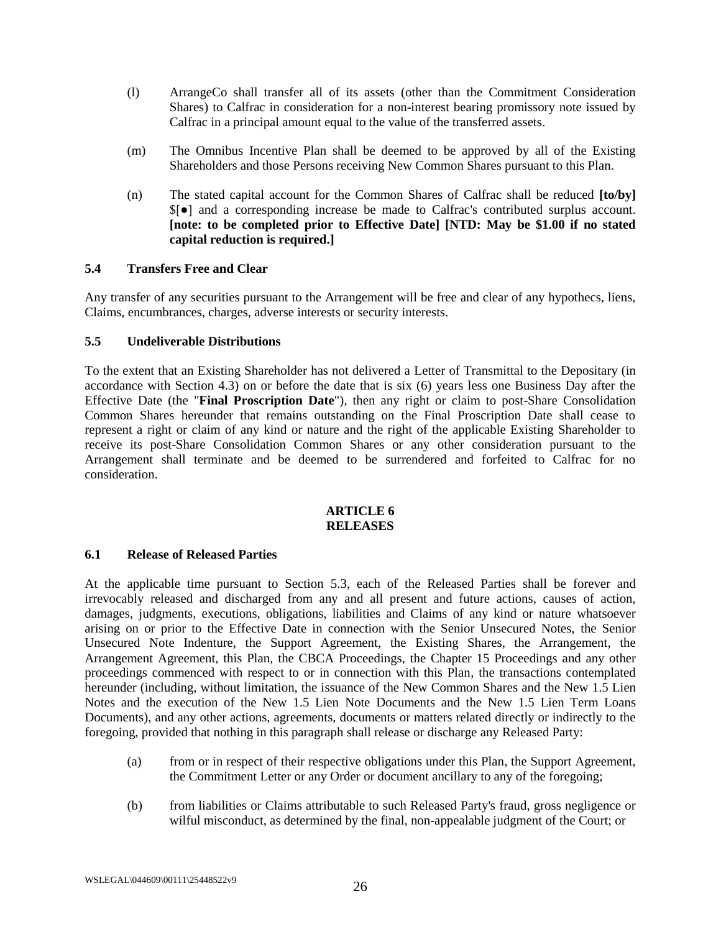- (l) ArrangeCo shall transfer all of its assets (other than the Commitment Consideration Shares) to Calfrac in consideration for a non-interest bearing promissory note issued by Calfrac in a principal amount equal to the value of the transferred assets.
- (m) The Omnibus Incentive Plan shall be deemed to be approved by all of the Existing Shareholders and those Persons receiving New Common Shares pursuant to this Plan.
- (n) The stated capital account for the Common Shares of Calfrac shall be reduced **[to/by]** \$[●] and a corresponding increase be made to Calfrac's contributed surplus account. **[note: to be completed prior to Effective Date] [NTD: May be \$1.00 if no stated capital reduction is required.]**

### <span id="page-32-0"></span>**5.4 Transfers Free and Clear**

Any transfer of any securities pursuant to the Arrangement will be free and clear of any hypothecs, liens, Claims, encumbrances, charges, adverse interests or security interests.

### <span id="page-32-1"></span>**5.5 Undeliverable Distributions**

To the extent that an Existing Shareholder has not delivered a Letter of Transmittal to the Depositary (in accordance with Section [4.3\)](#page-25-1) on or before the date that is six (6) years less one Business Day after the Effective Date (the "**Final Proscription Date**"), then any right or claim to post-Share Consolidation Common Shares hereunder that remains outstanding on the Final Proscription Date shall cease to represent a right or claim of any kind or nature and the right of the applicable Existing Shareholder to receive its post-Share Consolidation Common Shares or any other consideration pursuant to the Arrangement shall terminate and be deemed to be surrendered and forfeited to Calfrac for no consideration.

### **ARTICLE 6 RELEASES**

### <span id="page-32-3"></span><span id="page-32-2"></span>**6.1 Release of Released Parties**

At the applicable time pursuant to Section [5.3,](#page-29-0) each of the Released Parties shall be forever and irrevocably released and discharged from any and all present and future actions, causes of action, damages, judgments, executions, obligations, liabilities and Claims of any kind or nature whatsoever arising on or prior to the Effective Date in connection with the Senior Unsecured Notes, the Senior Unsecured Note Indenture, the Support Agreement, the Existing Shares, the Arrangement, the Arrangement Agreement, this Plan, the CBCA Proceedings, the Chapter 15 Proceedings and any other proceedings commenced with respect to or in connection with this Plan, the transactions contemplated hereunder (including, without limitation, the issuance of the New Common Shares and the New 1.5 Lien Notes and the execution of the New 1.5 Lien Note Documents and the New 1.5 Lien Term Loans Documents), and any other actions, agreements, documents or matters related directly or indirectly to the foregoing, provided that nothing in this paragraph shall release or discharge any Released Party:

- (a) from or in respect of their respective obligations under this Plan, the Support Agreement, the Commitment Letter or any Order or document ancillary to any of the foregoing;
- (b) from liabilities or Claims attributable to such Released Party's fraud, gross negligence or wilful misconduct, as determined by the final, non-appealable judgment of the Court; or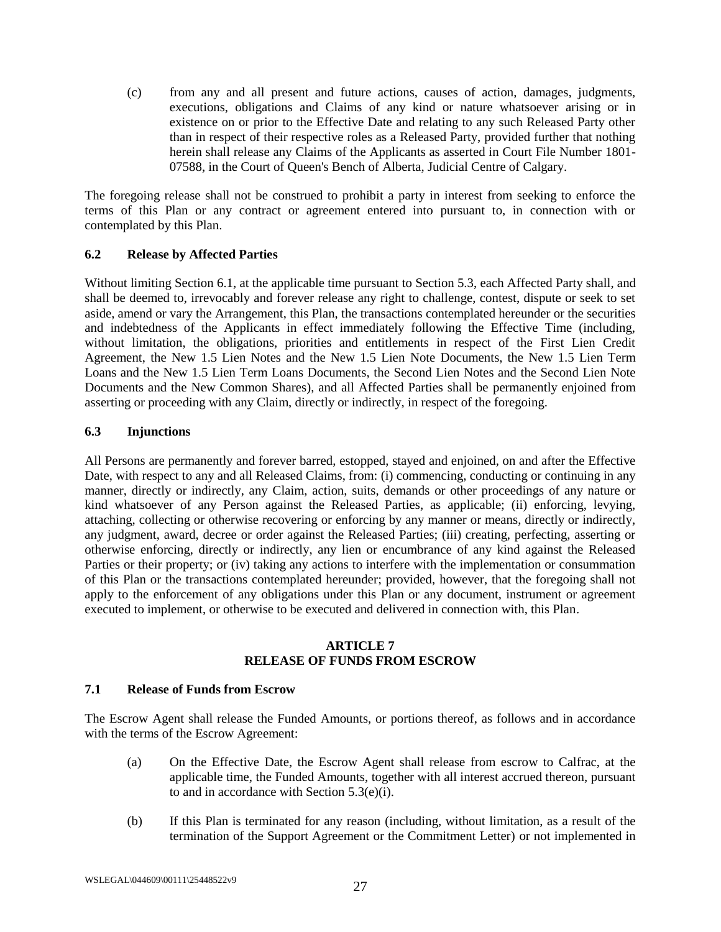(c) from any and all present and future actions, causes of action, damages, judgments, executions, obligations and Claims of any kind or nature whatsoever arising or in existence on or prior to the Effective Date and relating to any such Released Party other than in respect of their respective roles as a Released Party, provided further that nothing herein shall release any Claims of the Applicants as asserted in Court File Number 1801- 07588, in the Court of Queen's Bench of Alberta, Judicial Centre of Calgary.

The foregoing release shall not be construed to prohibit a party in interest from seeking to enforce the terms of this Plan or any contract or agreement entered into pursuant to, in connection with or contemplated by this Plan.

### <span id="page-33-0"></span>**6.2 Release by Affected Parties**

Without limiting Section [6.1,](#page-32-3) at the applicable time pursuant to Section [5.3,](#page-29-0) each Affected Party shall, and shall be deemed to, irrevocably and forever release any right to challenge, contest, dispute or seek to set aside, amend or vary the Arrangement, this Plan, the transactions contemplated hereunder or the securities and indebtedness of the Applicants in effect immediately following the Effective Time (including, without limitation, the obligations, priorities and entitlements in respect of the First Lien Credit Agreement, the New 1.5 Lien Notes and the New 1.5 Lien Note Documents, the New 1.5 Lien Term Loans and the New 1.5 Lien Term Loans Documents, the Second Lien Notes and the Second Lien Note Documents and the New Common Shares), and all Affected Parties shall be permanently enjoined from asserting or proceeding with any Claim, directly or indirectly, in respect of the foregoing.

## <span id="page-33-1"></span>**6.3 Injunctions**

All Persons are permanently and forever barred, estopped, stayed and enjoined, on and after the Effective Date, with respect to any and all Released Claims, from: (i) commencing, conducting or continuing in any manner, directly or indirectly, any Claim, action, suits, demands or other proceedings of any nature or kind whatsoever of any Person against the Released Parties, as applicable; (ii) enforcing, levying, attaching, collecting or otherwise recovering or enforcing by any manner or means, directly or indirectly, any judgment, award, decree or order against the Released Parties; (iii) creating, perfecting, asserting or otherwise enforcing, directly or indirectly, any lien or encumbrance of any kind against the Released Parties or their property; or (iv) taking any actions to interfere with the implementation or consummation of this Plan or the transactions contemplated hereunder; provided, however, that the foregoing shall not apply to the enforcement of any obligations under this Plan or any document, instrument or agreement executed to implement, or otherwise to be executed and delivered in connection with, this Plan.

#### **ARTICLE 7 RELEASE OF FUNDS FROM ESCROW**

### <span id="page-33-3"></span><span id="page-33-2"></span>**7.1 Release of Funds from Escrow**

The Escrow Agent shall release the Funded Amounts, or portions thereof, as follows and in accordance with the terms of the Escrow Agreement:

- (a) On the Effective Date, the Escrow Agent shall release from escrow to Calfrac, at the applicable time, the Funded Amounts, together with all interest accrued thereon, pursuant to and in accordance with Section [5.3\(e\)\(i\).](#page-30-3)
- (b) If this Plan is terminated for any reason (including, without limitation, as a result of the termination of the Support Agreement or the Commitment Letter) or not implemented in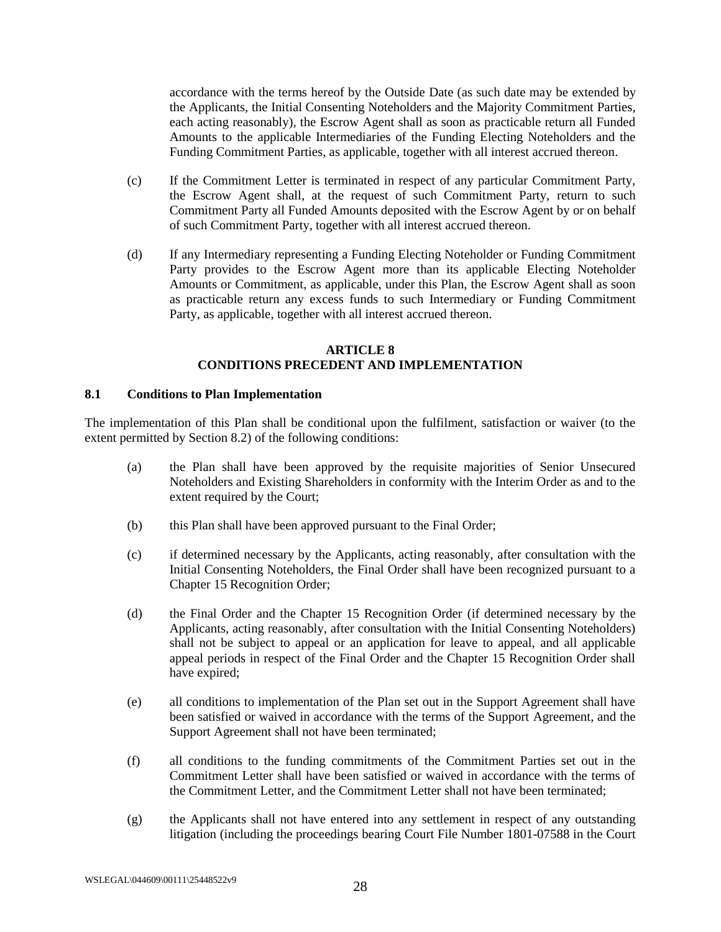accordance with the terms hereof by the Outside Date (as such date may be extended by the Applicants, the Initial Consenting Noteholders and the Majority Commitment Parties, each acting reasonably), the Escrow Agent shall as soon as practicable return all Funded Amounts to the applicable Intermediaries of the Funding Electing Noteholders and the Funding Commitment Parties, as applicable, together with all interest accrued thereon.

- (c) If the Commitment Letter is terminated in respect of any particular Commitment Party, the Escrow Agent shall, at the request of such Commitment Party, return to such Commitment Party all Funded Amounts deposited with the Escrow Agent by or on behalf of such Commitment Party, together with all interest accrued thereon.
- (d) If any Intermediary representing a Funding Electing Noteholder or Funding Commitment Party provides to the Escrow Agent more than its applicable Electing Noteholder Amounts or Commitment, as applicable, under this Plan, the Escrow Agent shall as soon as practicable return any excess funds to such Intermediary or Funding Commitment Party, as applicable, together with all interest accrued thereon.

### **ARTICLE 8 CONDITIONS PRECEDENT AND IMPLEMENTATION**

### <span id="page-34-1"></span><span id="page-34-0"></span>**8.1 Conditions to Plan Implementation**

<span id="page-34-2"></span>The implementation of this Plan shall be conditional upon the fulfilment, satisfaction or waiver (to the extent permitted by Section [8.2\)](#page-35-0) of the following conditions:

- (a) the Plan shall have been approved by the requisite majorities of Senior Unsecured Noteholders and Existing Shareholders in conformity with the Interim Order as and to the extent required by the Court;
- <span id="page-34-3"></span>(b) this Plan shall have been approved pursuant to the Final Order;
- (c) if determined necessary by the Applicants, acting reasonably, after consultation with the Initial Consenting Noteholders, the Final Order shall have been recognized pursuant to a Chapter 15 Recognition Order;
- (d) the Final Order and the Chapter 15 Recognition Order (if determined necessary by the Applicants, acting reasonably, after consultation with the Initial Consenting Noteholders) shall not be subject to appeal or an application for leave to appeal, and all applicable appeal periods in respect of the Final Order and the Chapter 15 Recognition Order shall have expired;
- <span id="page-34-4"></span>(e) all conditions to implementation of the Plan set out in the Support Agreement shall have been satisfied or waived in accordance with the terms of the Support Agreement, and the Support Agreement shall not have been terminated;
- <span id="page-34-5"></span>(f) all conditions to the funding commitments of the Commitment Parties set out in the Commitment Letter shall have been satisfied or waived in accordance with the terms of the Commitment Letter, and the Commitment Letter shall not have been terminated;
- (g) the Applicants shall not have entered into any settlement in respect of any outstanding litigation (including the proceedings bearing Court File Number 1801-07588 in the Court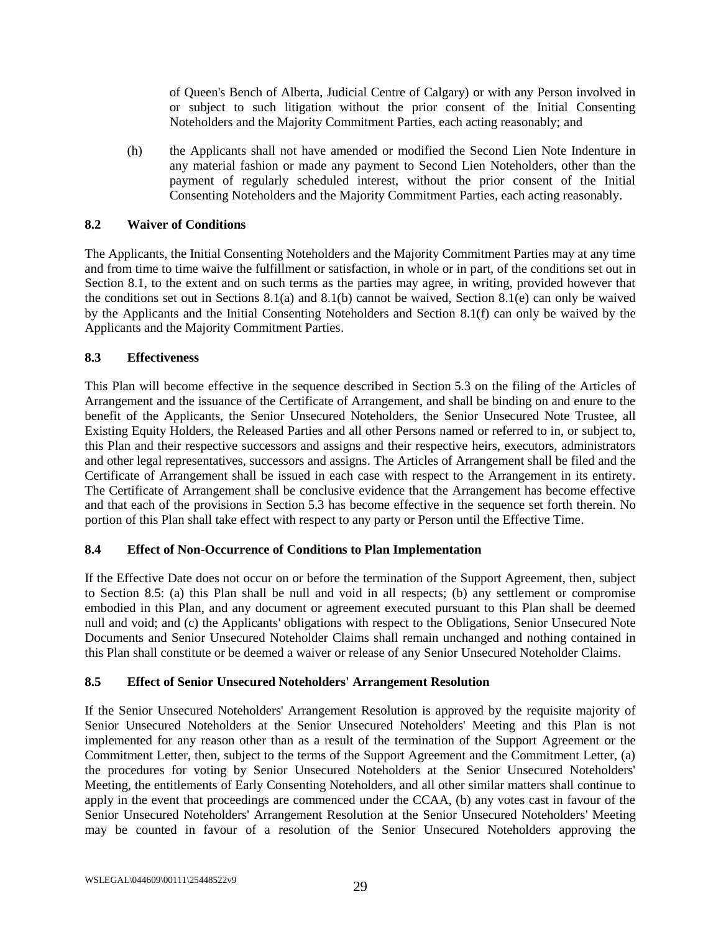of Queen's Bench of Alberta, Judicial Centre of Calgary) or with any Person involved in or subject to such litigation without the prior consent of the Initial Consenting Noteholders and the Majority Commitment Parties, each acting reasonably; and

(h) the Applicants shall not have amended or modified the Second Lien Note Indenture in any material fashion or made any payment to Second Lien Noteholders, other than the payment of regularly scheduled interest, without the prior consent of the Initial Consenting Noteholders and the Majority Commitment Parties, each acting reasonably.

### <span id="page-35-0"></span>**8.2 Waiver of Conditions**

The Applicants, the Initial Consenting Noteholders and the Majority Commitment Parties may at any time and from time to time waive the fulfillment or satisfaction, in whole or in part, of the conditions set out in Section [8.1,](#page-34-1) to the extent and on such terms as the parties may agree, in writing, provided however that the conditions set out in Sections [8.1\(a\)](#page-34-2) and [8.1\(b\)](#page-34-3) cannot be waived, Section [8.1\(e\)](#page-34-4) can only be waived by the Applicants and the Initial Consenting Noteholders and Section [8.1\(f\)](#page-34-5) can only be waived by the Applicants and the Majority Commitment Parties.

### <span id="page-35-1"></span>**8.3 Effectiveness**

This Plan will become effective in the sequence described in Section [5.3](#page-29-0) on the filing of the Articles of Arrangement and the issuance of the Certificate of Arrangement, and shall be binding on and enure to the benefit of the Applicants, the Senior Unsecured Noteholders, the Senior Unsecured Note Trustee, all Existing Equity Holders, the Released Parties and all other Persons named or referred to in, or subject to, this Plan and their respective successors and assigns and their respective heirs, executors, administrators and other legal representatives, successors and assigns. The Articles of Arrangement shall be filed and the Certificate of Arrangement shall be issued in each case with respect to the Arrangement in its entirety. The Certificate of Arrangement shall be conclusive evidence that the Arrangement has become effective and that each of the provisions in Section [5.3](#page-29-0) has become effective in the sequence set forth therein. No portion of this Plan shall take effect with respect to any party or Person until the Effective Time.

### <span id="page-35-2"></span>**8.4 Effect of Non-Occurrence of Conditions to Plan Implementation**

If the Effective Date does not occur on or before the termination of the Support Agreement, then, subject to Section [8.5:](#page-35-3) (a) this Plan shall be null and void in all respects; (b) any settlement or compromise embodied in this Plan, and any document or agreement executed pursuant to this Plan shall be deemed null and void; and (c) the Applicants' obligations with respect to the Obligations, Senior Unsecured Note Documents and Senior Unsecured Noteholder Claims shall remain unchanged and nothing contained in this Plan shall constitute or be deemed a waiver or release of any Senior Unsecured Noteholder Claims.

### <span id="page-35-3"></span>**8.5 Effect of Senior Unsecured Noteholders' Arrangement Resolution**

If the Senior Unsecured Noteholders' Arrangement Resolution is approved by the requisite majority of Senior Unsecured Noteholders at the Senior Unsecured Noteholders' Meeting and this Plan is not implemented for any reason other than as a result of the termination of the Support Agreement or the Commitment Letter, then, subject to the terms of the Support Agreement and the Commitment Letter, (a) the procedures for voting by Senior Unsecured Noteholders at the Senior Unsecured Noteholders' Meeting, the entitlements of Early Consenting Noteholders, and all other similar matters shall continue to apply in the event that proceedings are commenced under the CCAA, (b) any votes cast in favour of the Senior Unsecured Noteholders' Arrangement Resolution at the Senior Unsecured Noteholders' Meeting may be counted in favour of a resolution of the Senior Unsecured Noteholders approving the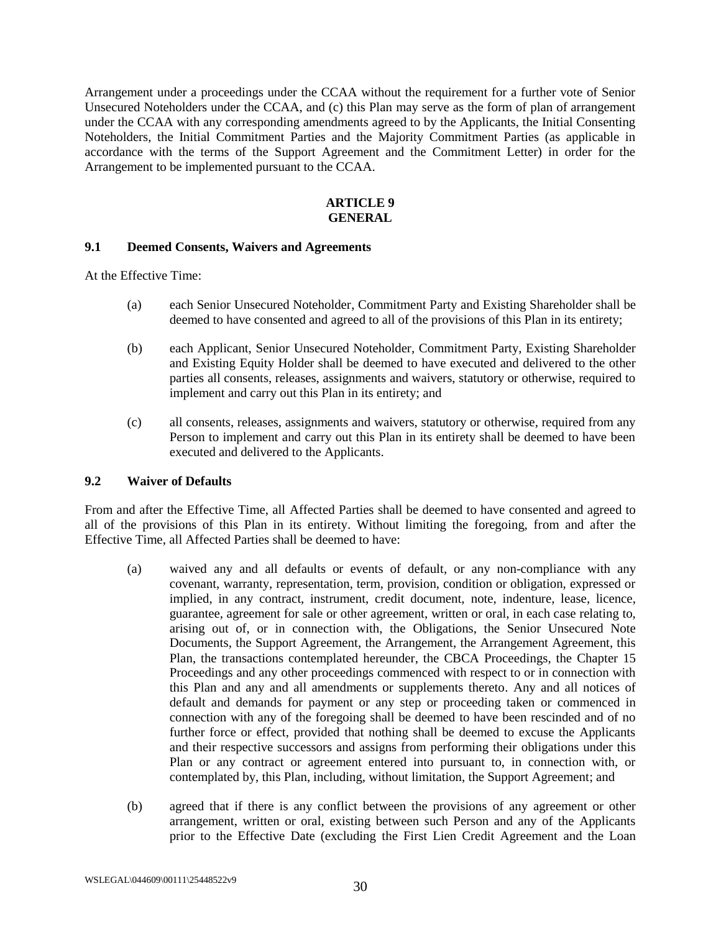Arrangement under a proceedings under the CCAA without the requirement for a further vote of Senior Unsecured Noteholders under the CCAA, and (c) this Plan may serve as the form of plan of arrangement under the CCAA with any corresponding amendments agreed to by the Applicants, the Initial Consenting Noteholders, the Initial Commitment Parties and the Majority Commitment Parties (as applicable in accordance with the terms of the Support Agreement and the Commitment Letter) in order for the Arrangement to be implemented pursuant to the CCAA.

#### **ARTICLE 9 GENERAL**

#### <span id="page-36-1"></span><span id="page-36-0"></span>**9.1 Deemed Consents, Waivers and Agreements**

At the Effective Time:

- (a) each Senior Unsecured Noteholder, Commitment Party and Existing Shareholder shall be deemed to have consented and agreed to all of the provisions of this Plan in its entirety;
- (b) each Applicant, Senior Unsecured Noteholder, Commitment Party, Existing Shareholder and Existing Equity Holder shall be deemed to have executed and delivered to the other parties all consents, releases, assignments and waivers, statutory or otherwise, required to implement and carry out this Plan in its entirety; and
- (c) all consents, releases, assignments and waivers, statutory or otherwise, required from any Person to implement and carry out this Plan in its entirety shall be deemed to have been executed and delivered to the Applicants.

#### <span id="page-36-2"></span>**9.2 Waiver of Defaults**

From and after the Effective Time, all Affected Parties shall be deemed to have consented and agreed to all of the provisions of this Plan in its entirety. Without limiting the foregoing, from and after the Effective Time, all Affected Parties shall be deemed to have:

- (a) waived any and all defaults or events of default, or any non-compliance with any covenant, warranty, representation, term, provision, condition or obligation, expressed or implied, in any contract, instrument, credit document, note, indenture, lease, licence, guarantee, agreement for sale or other agreement, written or oral, in each case relating to, arising out of, or in connection with, the Obligations, the Senior Unsecured Note Documents, the Support Agreement, the Arrangement, the Arrangement Agreement, this Plan, the transactions contemplated hereunder, the CBCA Proceedings, the Chapter 15 Proceedings and any other proceedings commenced with respect to or in connection with this Plan and any and all amendments or supplements thereto. Any and all notices of default and demands for payment or any step or proceeding taken or commenced in connection with any of the foregoing shall be deemed to have been rescinded and of no further force or effect, provided that nothing shall be deemed to excuse the Applicants and their respective successors and assigns from performing their obligations under this Plan or any contract or agreement entered into pursuant to, in connection with, or contemplated by, this Plan, including, without limitation, the Support Agreement; and
- (b) agreed that if there is any conflict between the provisions of any agreement or other arrangement, written or oral, existing between such Person and any of the Applicants prior to the Effective Date (excluding the First Lien Credit Agreement and the Loan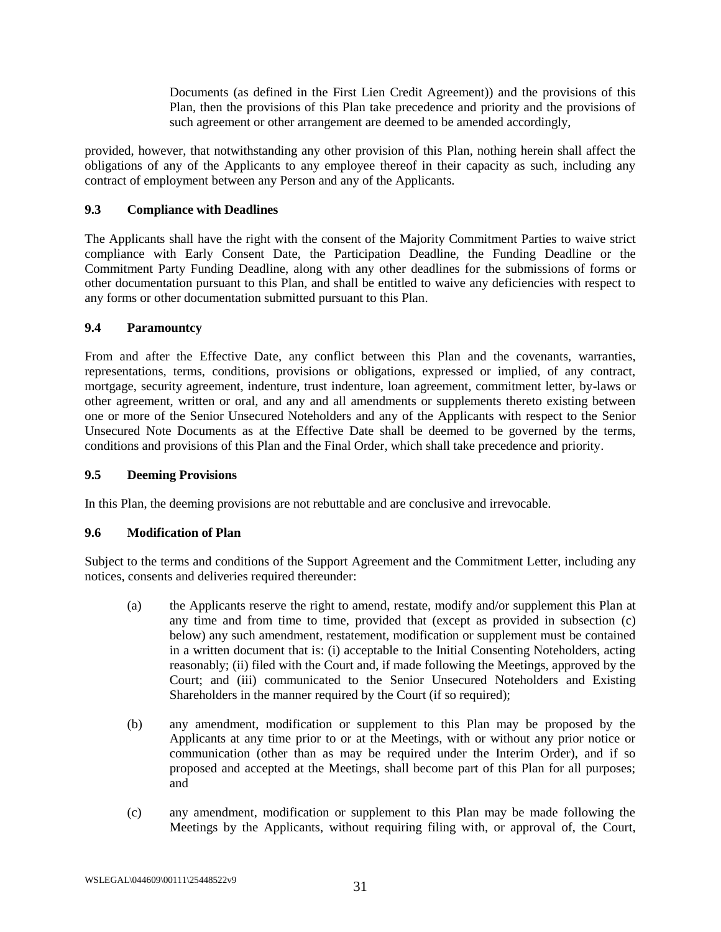Documents (as defined in the First Lien Credit Agreement)) and the provisions of this Plan, then the provisions of this Plan take precedence and priority and the provisions of such agreement or other arrangement are deemed to be amended accordingly,

provided, however, that notwithstanding any other provision of this Plan, nothing herein shall affect the obligations of any of the Applicants to any employee thereof in their capacity as such, including any contract of employment between any Person and any of the Applicants.

## <span id="page-37-0"></span>**9.3 Compliance with Deadlines**

The Applicants shall have the right with the consent of the Majority Commitment Parties to waive strict compliance with Early Consent Date, the Participation Deadline, the Funding Deadline or the Commitment Party Funding Deadline, along with any other deadlines for the submissions of forms or other documentation pursuant to this Plan, and shall be entitled to waive any deficiencies with respect to any forms or other documentation submitted pursuant to this Plan.

## <span id="page-37-1"></span>**9.4 Paramountcy**

From and after the Effective Date, any conflict between this Plan and the covenants, warranties, representations, terms, conditions, provisions or obligations, expressed or implied, of any contract, mortgage, security agreement, indenture, trust indenture, loan agreement, commitment letter, by-laws or other agreement, written or oral, and any and all amendments or supplements thereto existing between one or more of the Senior Unsecured Noteholders and any of the Applicants with respect to the Senior Unsecured Note Documents as at the Effective Date shall be deemed to be governed by the terms, conditions and provisions of this Plan and the Final Order, which shall take precedence and priority.

### <span id="page-37-2"></span>**9.5 Deeming Provisions**

In this Plan, the deeming provisions are not rebuttable and are conclusive and irrevocable.

### <span id="page-37-3"></span>**9.6 Modification of Plan**

Subject to the terms and conditions of the Support Agreement and the Commitment Letter, including any notices, consents and deliveries required thereunder:

- (a) the Applicants reserve the right to amend, restate, modify and/or supplement this Plan at any time and from time to time, provided that (except as provided in subsection [\(c\)](#page-37-4) below) any such amendment, restatement, modification or supplement must be contained in a written document that is: (i) acceptable to the Initial Consenting Noteholders, acting reasonably; (ii) filed with the Court and, if made following the Meetings, approved by the Court; and (iii) communicated to the Senior Unsecured Noteholders and Existing Shareholders in the manner required by the Court (if so required);
- (b) any amendment, modification or supplement to this Plan may be proposed by the Applicants at any time prior to or at the Meetings, with or without any prior notice or communication (other than as may be required under the Interim Order), and if so proposed and accepted at the Meetings, shall become part of this Plan for all purposes; and
- <span id="page-37-4"></span>(c) any amendment, modification or supplement to this Plan may be made following the Meetings by the Applicants, without requiring filing with, or approval of, the Court,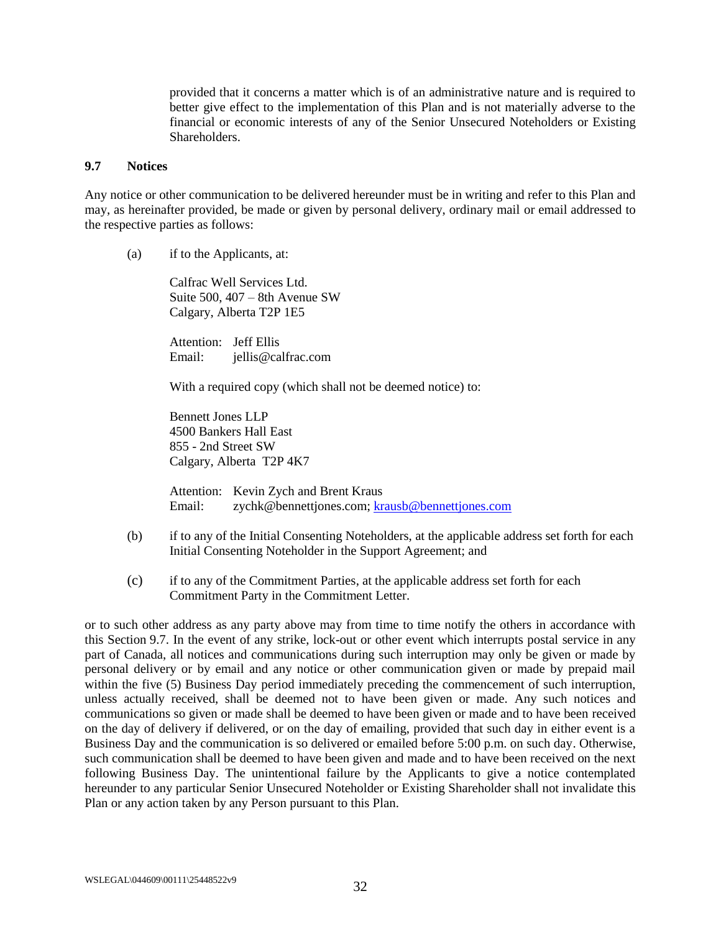provided that it concerns a matter which is of an administrative nature and is required to better give effect to the implementation of this Plan and is not materially adverse to the financial or economic interests of any of the Senior Unsecured Noteholders or Existing Shareholders.

#### <span id="page-38-0"></span>**9.7 Notices**

Any notice or other communication to be delivered hereunder must be in writing and refer to this Plan and may, as hereinafter provided, be made or given by personal delivery, ordinary mail or email addressed to the respective parties as follows:

(a) if to the Applicants, at:

Calfrac Well Services Ltd. Suite 500, 407 – 8th Avenue SW Calgary, Alberta T2P 1E5

Attention: Jeff Ellis Email: jellis@calfrac.com

With a required copy (which shall not be deemed notice) to:

Bennett Jones LLP 4500 Bankers Hall East 855 - 2nd Street SW Calgary, Alberta T2P 4K7

Attention: Kevin Zych and Brent Kraus Email: zychk@bennettjones.com; [krausb@bennettjones.com](mailto:krausb@bennettjones.com)

- (b) if to any of the Initial Consenting Noteholders, at the applicable address set forth for each Initial Consenting Noteholder in the Support Agreement; and
- (c) if to any of the Commitment Parties, at the applicable address set forth for each Commitment Party in the Commitment Letter.

or to such other address as any party above may from time to time notify the others in accordance with this Section [9.7.](#page-38-0) In the event of any strike, lock-out or other event which interrupts postal service in any part of Canada, all notices and communications during such interruption may only be given or made by personal delivery or by email and any notice or other communication given or made by prepaid mail within the five (5) Business Day period immediately preceding the commencement of such interruption, unless actually received, shall be deemed not to have been given or made. Any such notices and communications so given or made shall be deemed to have been given or made and to have been received on the day of delivery if delivered, or on the day of emailing, provided that such day in either event is a Business Day and the communication is so delivered or emailed before 5:00 p.m. on such day. Otherwise, such communication shall be deemed to have been given and made and to have been received on the next following Business Day. The unintentional failure by the Applicants to give a notice contemplated hereunder to any particular Senior Unsecured Noteholder or Existing Shareholder shall not invalidate this Plan or any action taken by any Person pursuant to this Plan.